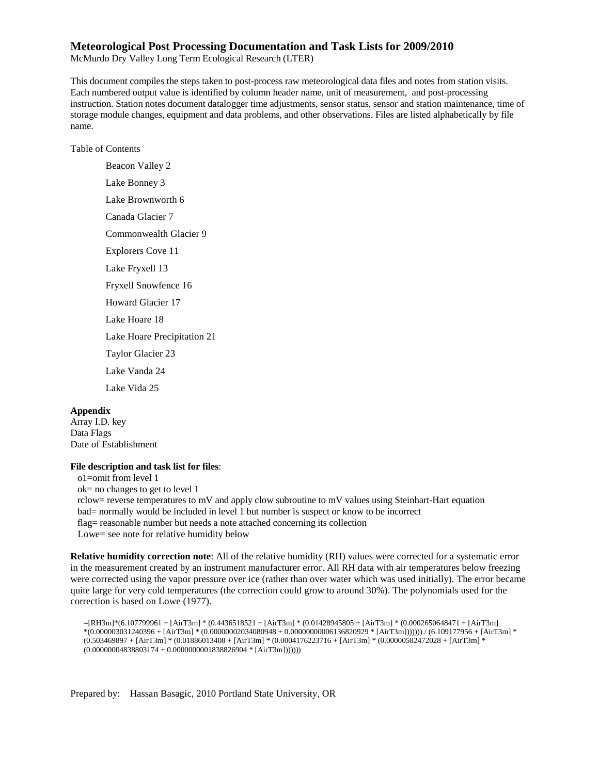#### **Meteorological Post Processing Documentation and Task Lists for 2009/2010**

McMurdo Dry Valley Long Term Ecological Research (LTER)

This document compiles the steps taken to post-process raw meteorological data files and notes from station visits. Each numbered output value is identified by column header name, unit of measurement, and post-processing instruction. Station notes document datalogger time adjustments, sensor status, sensor and station maintenance, time of storage module changes, equipment and data problems, and other observations. Files are listed alphabetically by file name.

Table of Contents

[Beacon Valley](#page-1-0) 2 [Lake Bonney](#page-2-0) 3 [Lake Brownworth](#page-5-0) 6 [Canada Glacier](#page-6-0) 7 [Commonwealth Glacier](#page-8-0) 9 [Explorers Cove](#page-10-0) 11 [Lake Fryxell](#page-12-0) 13 [Fryxell Snowfence](#page-15-0) 16 [Howard Glacier](#page-16-0) 17 [Lake Hoare](#page-17-0) 18 [Lake Hoare Precipitation](#page-20-0) 21 [Taylor Glacier](#page-22-0) 23 [Lake Vanda](#page-23-0) 24 [Lake Vida](#page-24-0) 25

#### **Appendix**

Array I.D. key Data Flags Date of Establishment

#### **File description and task list for files**:

 o1=omit from level 1 ok= no changes to get to level 1 rclow= reverse temperatures to mV and apply clow subroutine to mV values using Steinhart-Hart equation bad= normally would be included in level 1 but number is suspect or know to be incorrect flag= reasonable number but needs a note attached concerning its collection Lowe= see note for relative humidity below

**Relative humidity correction note**: All of the relative humidity (RH) values were corrected for a systematic error in the measurement created by an instrument manufacturer error. All RH data with air temperatures below freezing were corrected using the vapor pressure over ice (rather than over water which was used initially). The error became quite large for very cold temperatures (the correction could grow to around 30%). The polynomials used for the correction is based on Lowe (1977).

```
=[RH3m]*(6.107799961 + [AirT3m] * (0.4436518521 + [AirT3m] * (0.01428945805 + [AirT3m] * (0.0002650648471 + [AirT3m] 
*(0.000003031240396 + [AirT3m] * (0.00000002034080948 + 0.00000000006136820929 * [AirT3m])))))) / (6.109177956 + [AirT3m] * 
(0.503469897 + [AirT3m] * (0.01886013408 + [AirT3m] * (0.0004176223716 + [AirT3m] * (0.00000582472028 + [AirT3m] * 
(0.00000004838803174 + 0.0000000001838826904 * [AirT3m])))))
```
Prepared by: Hassan Basagic, 2010 Portland State University, OR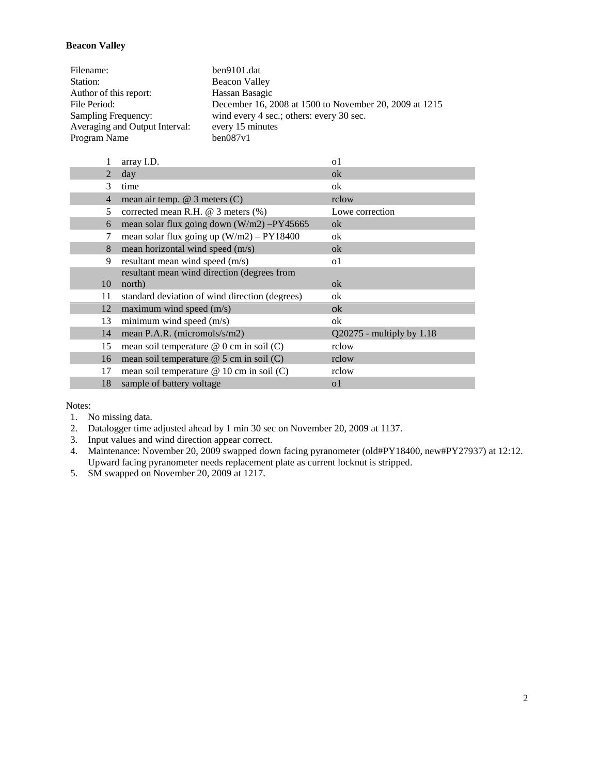### <span id="page-1-0"></span>**Beacon Valley**

| Filename:                      | ben9101.dat                                            |
|--------------------------------|--------------------------------------------------------|
| Station:                       | Beacon Valley                                          |
| Author of this report:         | Hassan Basagic                                         |
| File Period:                   | December 16, 2008 at 1500 to November 20, 2009 at 1215 |
| Sampling Frequency:            | wind every 4 sec.; others: every 30 sec.               |
| Averaging and Output Interval: | every 15 minutes                                       |
| Program Name                   | ben087v1                                               |

|                | array I.D.                                     | o1                          |
|----------------|------------------------------------------------|-----------------------------|
| 2              | day                                            | ok                          |
| 3              | time                                           | ok                          |
| $\overline{4}$ | mean air temp. $@$ 3 meters $(C)$              | rclow                       |
| 5              | corrected mean R.H. $@$ 3 meters $%$ )         | Lowe correction             |
| 6              | mean solar flux going down $(W/m2) - PY45665$  | ok                          |
|                | mean solar flux going up $(W/m2) - PY18400$    | ok                          |
| 8              | mean horizontal wind speed (m/s)               | ok                          |
| 9              | resultant mean wind speed (m/s)                | 01                          |
|                | resultant mean wind direction (degrees from    |                             |
| 10             | north)                                         | ok                          |
| 11             | standard deviation of wind direction (degrees) | ok                          |
| 12             | maximum wind speed $(m/s)$                     | 0k                          |
| 13             | minimum wind speed (m/s)                       | ok                          |
| 14             | mean P.A.R. (micromols/s/m2)                   | $Q20275$ - multiply by 1.18 |
| 15             | mean soil temperature $@$ 0 cm in soil (C)     | rclow                       |
| 16             | mean soil temperature $@$ 5 cm in soil (C)     | rclow                       |
| 17             | mean soil temperature $@ 10$ cm in soil (C)    | rclow                       |
| 18             | sample of battery voltage                      | o1                          |
|                |                                                |                             |

- 1. No missing data.
- 2. Datalogger time adjusted ahead by 1 min 30 sec on November 20, 2009 at 1137.
- 3. Input values and wind direction appear correct.
- 4. Maintenance: November 20, 2009 swapped down facing pyranometer (old#PY18400, new#PY27937) at 12:12. Upward facing pyranometer needs replacement plate as current locknut is stripped.
- 5. SM swapped on November 20, 2009 at 1217.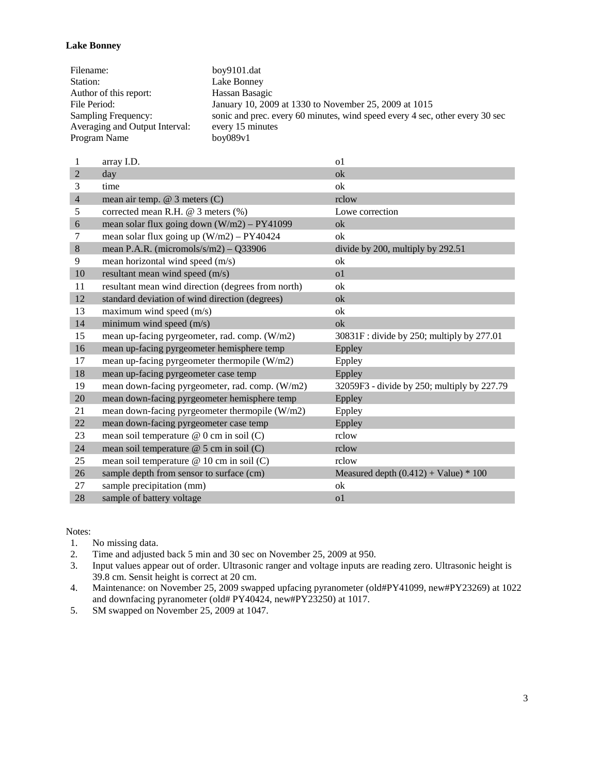#### <span id="page-2-0"></span>**Lake Bonney**

| Filename:                      | boy9101.dat                                                                  |
|--------------------------------|------------------------------------------------------------------------------|
| Station:                       | Lake Bonney                                                                  |
| Author of this report:         | Hassan Basagic                                                               |
| File Period:                   | January 10, 2009 at 1330 to November 25, 2009 at 1015                        |
| Sampling Frequency:            | sonic and prec. every 60 minutes, wind speed every 4 sec, other every 30 sec |
| Averaging and Output Interval: | every 15 minutes                                                             |
| Program Name                   | box089v1                                                                     |

| 1              | array I.D.                                         | 0 <sub>1</sub>                              |
|----------------|----------------------------------------------------|---------------------------------------------|
| $\overline{2}$ | day                                                | ok                                          |
| 3              | time                                               | ok                                          |
| $\overline{4}$ | mean air temp. $@$ 3 meters $(C)$                  | rclow                                       |
| 5              | corrected mean R.H. @ 3 meters (%)                 | Lowe correction                             |
| 6              | mean solar flux going down $(W/m2) - PY41099$      | ok                                          |
| 7              | mean solar flux going up $(W/m2) - PY40424$        | ok                                          |
| 8              | mean P.A.R. (micromols/s/m2) - $Q33906$            | divide by 200, multiply by 292.51           |
| 9              | mean horizontal wind speed (m/s)                   | ok                                          |
| 10             | resultant mean wind speed (m/s)                    | 0 <sub>1</sub>                              |
| 11             | resultant mean wind direction (degrees from north) | ok                                          |
| 12             | standard deviation of wind direction (degrees)     | ok                                          |
| 13             | maximum wind speed (m/s)                           | ok                                          |
| 14             | minimum wind speed (m/s)                           | $\alpha$                                    |
| 15             | mean up-facing pyrgeometer, rad. comp. (W/m2)      | 30831F: divide by 250; multiply by 277.01   |
| 16             | mean up-facing pyrgeometer hemisphere temp         | Eppley                                      |
| 17             | mean up-facing pyrgeometer thermopile (W/m2)       | Eppley                                      |
| 18             | mean up-facing pyrgeometer case temp               | Eppley                                      |
| 19             | mean down-facing pyrgeometer, rad. comp. (W/m2)    | 32059F3 - divide by 250; multiply by 227.79 |
| 20             | mean down-facing pyrgeometer hemisphere temp       | Eppley                                      |
| 21             | mean down-facing pyrgeometer thermopile (W/m2)     | Eppley                                      |
| 22             | mean down-facing pyrgeometer case temp             | Eppley                                      |
| 23             | mean soil temperature @ 0 cm in soil (C)           | rclow                                       |
| 24             | mean soil temperature @ 5 cm in soil (C)           | rclow                                       |
| 25             | mean soil temperature @ 10 cm in soil (C)          | rclow                                       |
| 26             | sample depth from sensor to surface (cm)           | Measured depth $(0.412) +$ Value) * 100     |
| 27             | sample precipitation (mm)                          | ok                                          |
| 28             | sample of battery voltage                          | 0 <sub>1</sub>                              |

Notes:<br>1.

No missing data.

2. Time and adjusted back 5 min and 30 sec on November 25, 2009 at 950.

3. Input values appear out of order. Ultrasonic ranger and voltage inputs are reading zero. Ultrasonic height is 39.8 cm. Sensit height is correct at 20 cm.

4. Maintenance: on November 25, 2009 swapped upfacing pyranometer (old#PY41099, new#PY23269) at 1022 and downfacing pyranometer (old# PY40424, new#PY23250) at 1017.

5. SM swapped on November 25, 2009 at 1047.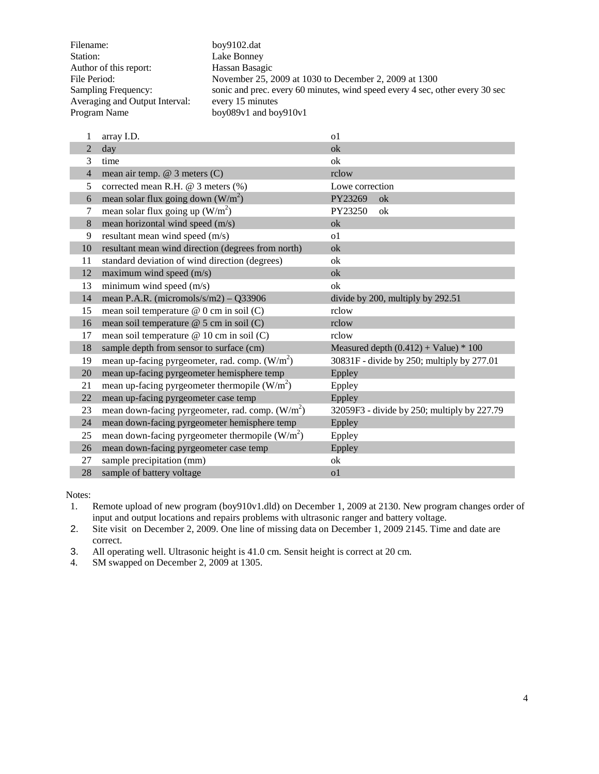| Filename:                      | boy9102.dat                                                                  |
|--------------------------------|------------------------------------------------------------------------------|
| Station:                       | Lake Bonney                                                                  |
| Author of this report:         | Hassan Basagic                                                               |
| File Period:                   | November 25, 2009 at 1030 to December 2, 2009 at 1300                        |
| Sampling Frequency:            | sonic and prec. every 60 minutes, wind speed every 4 sec, other every 30 sec |
| Averaging and Output Interval: | every 15 minutes                                                             |
| Program Name                   | boy089v1 and boy910v1                                                        |

| 1              | array I.D.                                         | 0 <sup>1</sup>                              |
|----------------|----------------------------------------------------|---------------------------------------------|
| $\overline{2}$ | day                                                | ok                                          |
| 3              | time                                               | ok                                          |
| $\overline{4}$ | mean air temp. $@$ 3 meters $(C)$                  | rclow                                       |
| 5              | corrected mean R.H. $@$ 3 meters $%$               | Lowe correction                             |
| 6              | mean solar flux going down $(W/m^2)$               | PY23269<br>ok                               |
| 7              | mean solar flux going up $(W/m^2)$                 | PY23250<br>ok                               |
| 8              | mean horizontal wind speed (m/s)                   | ok                                          |
| 9              | resultant mean wind speed (m/s)                    | 0 <sup>1</sup>                              |
| 10             | resultant mean wind direction (degrees from north) | ok                                          |
| 11             | standard deviation of wind direction (degrees)     | ok                                          |
| 12             | maximum wind speed (m/s)                           | ok                                          |
| 13             | minimum wind speed (m/s)                           | ok                                          |
| 14             | mean P.A.R. (micromols/s/m2) – $Q33906$            | divide by 200, multiply by 292.51           |
| 15             | mean soil temperature @ 0 cm in soil (C)           | rclow                                       |
| 16             | mean soil temperature @ 5 cm in soil (C)           | rclow                                       |
| 17             | mean soil temperature @ 10 cm in soil (C)          | rclow                                       |
| 18             | sample depth from sensor to surface (cm)           | Measured depth $(0.412) +$ Value) * 100     |
| 19             | mean up-facing pyrgeometer, rad. comp. $(W/m2)$    | 30831F - divide by 250; multiply by 277.01  |
| 20             | mean up-facing pyrgeometer hemisphere temp         | Eppley                                      |
| 21             | mean up-facing pyrgeometer thermopile $(W/m2)$     | Eppley                                      |
| 22             | mean up-facing pyrgeometer case temp               | Eppley                                      |
| 23             | mean down-facing pyrgeometer, rad. comp. $(W/m2)$  | 32059F3 - divide by 250; multiply by 227.79 |
| 24             | mean down-facing pyrgeometer hemisphere temp       | Eppley                                      |
| 25             | mean down-facing pyrgeometer thermopile $(W/m2)$   | Eppley                                      |
| 26             | mean down-facing pyrgeometer case temp             | Eppley                                      |
| 27             | sample precipitation (mm)                          | ok                                          |
| 28             | sample of battery voltage                          | 0 <sup>1</sup>                              |

Notes:<br>1.

- Remote upload of new program (boy910v1.dld) on December 1, 2009 at 2130. New program changes order of input and output locations and repairs problems with ultrasonic ranger and battery voltage.
- 2. Site visit on December 2, 2009. One line of missing data on December 1, 2009 2145. Time and date are correct.
- 3. All operating well. Ultrasonic height is 41.0 cm. Sensit height is correct at 20 cm.
- 4. SM swapped on December 2, 2009 at 1305.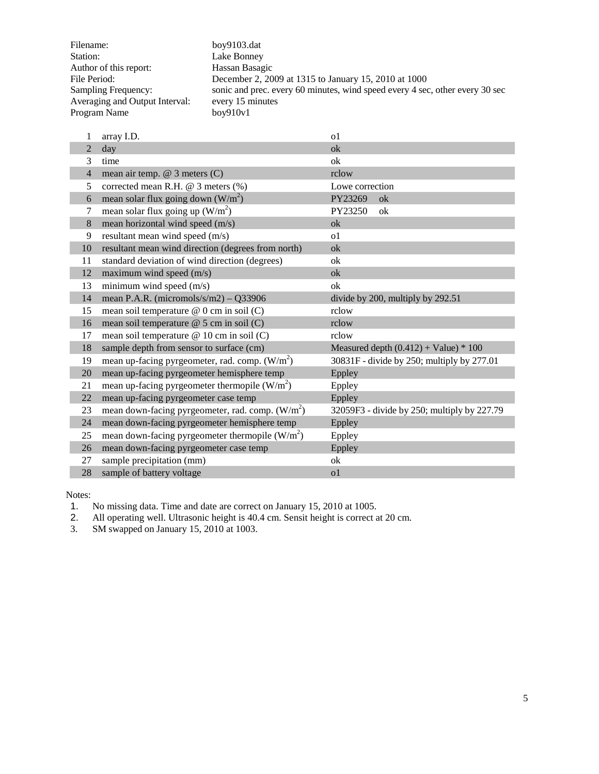| Filename:                      | boy9103.dat                                                                  |
|--------------------------------|------------------------------------------------------------------------------|
| Station:                       | Lake Bonney                                                                  |
| Author of this report:         | Hassan Basagic                                                               |
| File Period:                   | December 2, 2009 at 1315 to January 15, 2010 at 1000                         |
| Sampling Frequency:            | sonic and prec. every 60 minutes, wind speed every 4 sec, other every 30 sec |
| Averaging and Output Interval: | every 15 minutes                                                             |
| Program Name                   | box910v1                                                                     |

| 1              | array I.D.                                         | 0 <sup>1</sup>                              |
|----------------|----------------------------------------------------|---------------------------------------------|
| $\mathfrak{D}$ | day                                                | ok                                          |
| 3              | time                                               | ok                                          |
| $\overline{4}$ | mean air temp. @ 3 meters (C)                      | rclow                                       |
| 5              | corrected mean R.H. $@$ 3 meters $%$               | Lowe correction                             |
| 6              | mean solar flux going down $(W/m^2)$               | PY23269<br>ok                               |
| 7              | mean solar flux going up $(W/m^2)$                 | PY23250<br>ok                               |
| 8              | mean horizontal wind speed (m/s)                   | ok                                          |
| 9              | resultant mean wind speed (m/s)                    | 0 <sup>1</sup>                              |
| 10             | resultant mean wind direction (degrees from north) | ok                                          |
| 11             | standard deviation of wind direction (degrees)     | ok                                          |
| 12             | maximum wind speed (m/s)                           | ok                                          |
| 13             | minimum wind speed $(m/s)$                         | ok                                          |
| 14             | mean P.A.R. (micromols/s/m2) - $Q33906$            | divide by 200, multiply by 292.51           |
| 15             | mean soil temperature @ 0 cm in soil (C)           | rclow                                       |
| 16             | mean soil temperature @ 5 cm in soil (C)           | rclow                                       |
| 17             | mean soil temperature @ 10 cm in soil (C)          | rclow                                       |
| 18             | sample depth from sensor to surface (cm)           | Measured depth $(0.412) +$ Value) * 100     |
| 19             | mean up-facing pyrgeometer, rad. comp. $(W/m2)$    | 30831F - divide by 250; multiply by 277.01  |
| 20             | mean up-facing pyrgeometer hemisphere temp         | Eppley                                      |
| 21             | mean up-facing pyrgeometer thermopile $(W/m2)$     | Eppley                                      |
| 22             | mean up-facing pyrgeometer case temp               | Eppley                                      |
| 23             | mean down-facing pyrgeometer, rad. comp. $(W/m2)$  | 32059F3 - divide by 250; multiply by 227.79 |
| 24             | mean down-facing pyrgeometer hemisphere temp       | Eppley                                      |
| 25             | mean down-facing pyrgeometer thermopile $(W/m2)$   | Eppley                                      |
| 26             | mean down-facing pyrgeometer case temp             | Eppley                                      |
| 27             | sample precipitation (mm)                          | ok                                          |
| 28             | sample of battery voltage                          | 0 <sup>1</sup>                              |

1. No missing data. Time and date are correct on January 15, 2010 at 1005.

2. All operating well. Ultrasonic height is 40.4 cm. Sensit height is correct at 20 cm.

3. SM swapped on January 15, 2010 at 1003.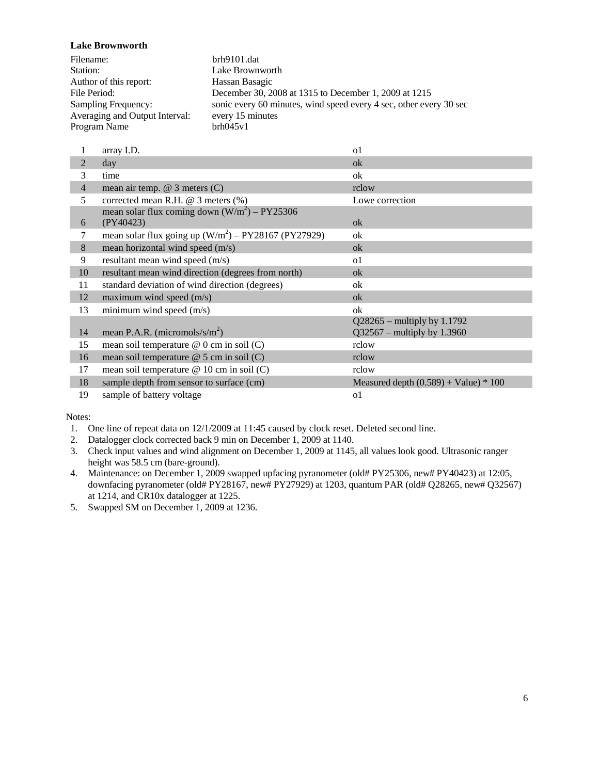<span id="page-5-0"></span>**Lake Brownworth**

| Filename:                      | brh9101.dat                                                        |
|--------------------------------|--------------------------------------------------------------------|
| Station:                       | Lake Brownworth                                                    |
| Author of this report:         | Hassan Basagic                                                     |
| File Period:                   | December 30, 2008 at 1315 to December 1, 2009 at 1215              |
| Sampling Frequency:            | sonic every 60 minutes, wind speed every 4 sec, other every 30 sec |
| Averaging and Output Interval: | every 15 minutes                                                   |
| Program Name                   | brh045v1                                                           |

|                | array I.D.                                             | $\Omega$                                |
|----------------|--------------------------------------------------------|-----------------------------------------|
| $\overline{2}$ | day                                                    | ok                                      |
| 3              | time                                                   | ok                                      |
| $\overline{4}$ | mean air temp. @ 3 meters (C)                          | rclow                                   |
| 5              | corrected mean R.H. @ 3 meters (%)                     | Lowe correction                         |
|                | mean solar flux coming down $(W/m^2)$ – PY25306        |                                         |
| 6              | (PY40423)                                              | ok                                      |
| 7              | mean solar flux going up $(W/m^2)$ – PY28167 (PY27929) | ok                                      |
| 8              | mean horizontal wind speed (m/s)                       | ok                                      |
| 9              | resultant mean wind speed (m/s)                        | <sub>o</sub> 1                          |
| 10             | resultant mean wind direction (degrees from north)     | ok                                      |
| 11             | standard deviation of wind direction (degrees)         | ok                                      |
| 12             | maximum wind speed $(m/s)$                             | ok                                      |
| 13             | minimum wind speed (m/s)                               | ok                                      |
|                |                                                        | $Q28265$ – multiply by 1.1792           |
| 14             | mean P.A.R. (micromols/s/ $m2$ )                       | $Q$ 32567 – multiply by 1.3960          |
| 15             | mean soil temperature $@$ 0 cm in soil (C)             | rclow                                   |
| 16             | mean soil temperature $@$ 5 cm in soil (C)             | rclow                                   |
| 17             | mean soil temperature $@ 10$ cm in soil (C)            | rclow                                   |
| 18             | sample depth from sensor to surface (cm)               | Measured depth $(0.589) +$ Value) * 100 |
| 19             | sample of battery voltage                              | 01                                      |

- 1. One line of repeat data on 12/1/2009 at 11:45 caused by clock reset. Deleted second line.
- 2. Datalogger clock corrected back 9 min on December 1, 2009 at 1140.
- 3. Check input values and wind alignment on December 1, 2009 at 1145, all values look good. Ultrasonic ranger height was 58.5 cm (bare-ground).
- 4. Maintenance: on December 1, 2009 swapped upfacing pyranometer (old# PY25306, new# PY40423) at 12:05, downfacing pyranometer (old# PY28167, new# PY27929) at 1203, quantum PAR (old# Q28265, new# Q32567) at 1214, and CR10x datalogger at 1225.
- 5. Swapped SM on December 1, 2009 at 1236.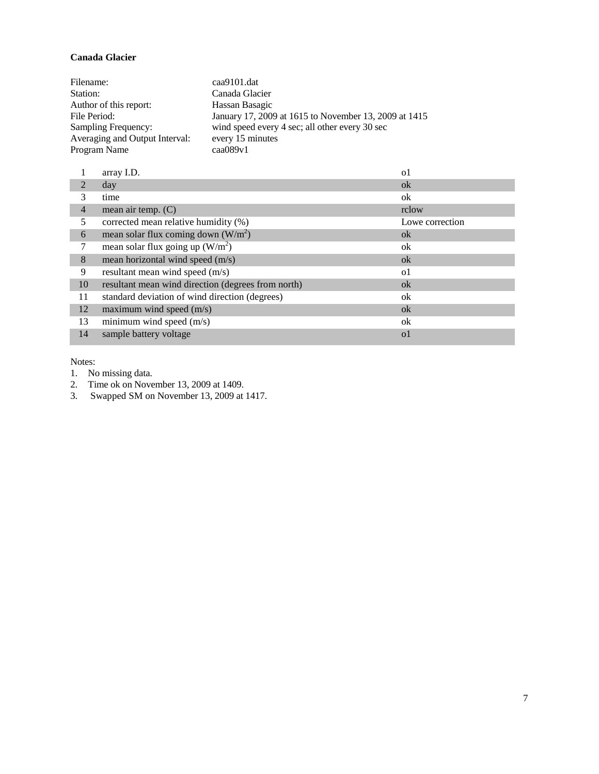# <span id="page-6-0"></span>**Canada Glacier**

| Filename:                      | caa9101.dat                                           |
|--------------------------------|-------------------------------------------------------|
| Station:                       | Canada Glacier                                        |
| Author of this report:         | Hassan Basagic                                        |
| File Period:                   | January 17, 2009 at 1615 to November 13, 2009 at 1415 |
| Sampling Frequency:            | wind speed every 4 sec; all other every 30 sec        |
| Averaging and Output Interval: | every 15 minutes                                      |
| Program Name                   | caa089v1                                              |

|                | array I.D.                                         | o1              |
|----------------|----------------------------------------------------|-----------------|
| $\mathfrak{D}$ | day                                                | ok              |
| 3              | time                                               | ok              |
| $\overline{4}$ | mean air temp. $(C)$                               | rclow           |
| 5              | corrected mean relative humidity (%)               | Lowe correction |
| 6              | mean solar flux coming down $(W/m^2)$              | ok              |
|                | mean solar flux going up $(W/m^2)$                 | ok              |
| 8              | mean horizontal wind speed (m/s)                   | ok              |
| 9              | resultant mean wind speed (m/s)                    | <sub>o</sub> 1  |
| 10             | resultant mean wind direction (degrees from north) | ok              |
| 11             | standard deviation of wind direction (degrees)     | ok              |
| 12             | maximum wind speed (m/s)                           | ok              |
| 13             | minimum wind speed $(m/s)$                         | ok              |
| 14             | sample battery voltage                             | $\Omega$        |

Notes:

1. No missing data.

2. Time ok on November 13, 2009 at 1409.

3. Swapped SM on November 13, 2009 at 1417.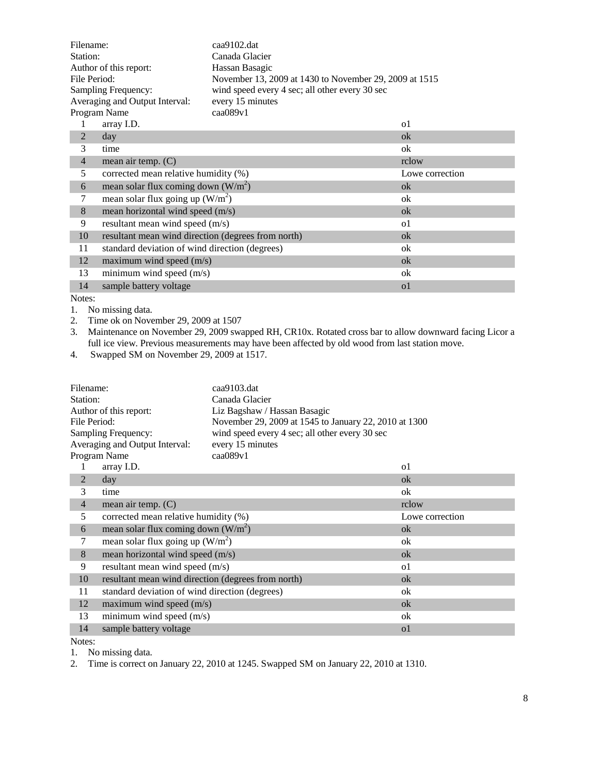| Filename:                                 |                                                    | $caa9102$ .dat                                         |                 |  |
|-------------------------------------------|----------------------------------------------------|--------------------------------------------------------|-----------------|--|
| Station:                                  |                                                    | Canada Glacier                                         |                 |  |
| Author of this report:                    |                                                    | Hassan Basagic                                         |                 |  |
| File Period:                              |                                                    | November 13, 2009 at 1430 to November 29, 2009 at 1515 |                 |  |
|                                           | Sampling Frequency:                                | wind speed every 4 sec; all other every 30 sec         |                 |  |
|                                           | Averaging and Output Interval:                     | every 15 minutes                                       |                 |  |
|                                           | Program Name                                       | caa089v1                                               |                 |  |
| 1                                         | array I.D.                                         |                                                        | 0 <sup>1</sup>  |  |
| $\overline{2}$                            | day                                                |                                                        | ok              |  |
| 3                                         | time                                               |                                                        | ok              |  |
| $\overline{4}$                            | mean air temp. $(C)$                               |                                                        | rclow           |  |
| 5<br>corrected mean relative humidity (%) |                                                    |                                                        | Lowe correction |  |
| 6                                         | mean solar flux coming down $(W/m^2)$              |                                                        | $\alpha$        |  |
| 7                                         | mean solar flux going up $(W/m^2)$                 |                                                        | ok              |  |
| 8                                         | mean horizontal wind speed (m/s)                   |                                                        | ok              |  |
| 9                                         | resultant mean wind speed (m/s)                    |                                                        | 0 <sup>1</sup>  |  |
| 10                                        | resultant mean wind direction (degrees from north) |                                                        | ok              |  |
| 11                                        | standard deviation of wind direction (degrees)     |                                                        | ok              |  |
| 12                                        | maximum wind speed $(m/s)$                         |                                                        | ok              |  |
| 13                                        | minimum wind speed $(m/s)$                         |                                                        | ok              |  |
| 14                                        | sample battery voltage                             |                                                        | o <sub>1</sub>  |  |

1. No missing data.

2. Time ok on November 29, 2009 at 1507

3. Maintenance on November 29, 2009 swapped RH, CR10x. Rotated cross bar to allow downward facing Licor a full ice view. Previous measurements may have been affected by old wood from last station move.

4. Swapped SM on November 29, 2009 at 1517.

| Filename:              |                                                    | caa9103.dat                                           |                 |  |
|------------------------|----------------------------------------------------|-------------------------------------------------------|-----------------|--|
| Station:               |                                                    | Canada Glacier                                        |                 |  |
| Author of this report: |                                                    | Liz Bagshaw / Hassan Basagic                          |                 |  |
| File Period:           |                                                    | November 29, 2009 at 1545 to January 22, 2010 at 1300 |                 |  |
|                        | Sampling Frequency:                                | wind speed every 4 sec; all other every 30 sec        |                 |  |
|                        | Averaging and Output Interval:                     | every 15 minutes                                      |                 |  |
|                        | Program Name                                       | caa089v1                                              |                 |  |
|                        | array I.D.                                         |                                                       | o1              |  |
| 2                      | day                                                |                                                       | ok              |  |
| 3                      | time                                               |                                                       | ok              |  |
| $\overline{4}$         | mean air temp. (C)                                 |                                                       | rclow           |  |
| 5                      | corrected mean relative humidity (%)               |                                                       | Lowe correction |  |
| 6                      | mean solar flux coming down $(W/m^2)$              |                                                       | ok              |  |
| 7                      | mean solar flux going up $(W/m^2)$                 |                                                       | ok              |  |
| 8                      | mean horizontal wind speed (m/s)                   |                                                       | ok              |  |
| 9                      | resultant mean wind speed (m/s)                    |                                                       | <sub>o</sub> 1  |  |
| 10                     | resultant mean wind direction (degrees from north) |                                                       | ok              |  |
| 11                     | standard deviation of wind direction (degrees)     |                                                       | ok              |  |
| 12                     | maximum wind speed $(m/s)$                         |                                                       | ok              |  |
| 13                     | minimum wind speed (m/s)                           |                                                       | ok              |  |
| 14                     | sample battery voltage                             |                                                       | <sub>o</sub> 1  |  |
|                        |                                                    |                                                       |                 |  |

Notes:

1. No missing data.

2. Time is correct on January 22, 2010 at 1245. Swapped SM on January 22, 2010 at 1310.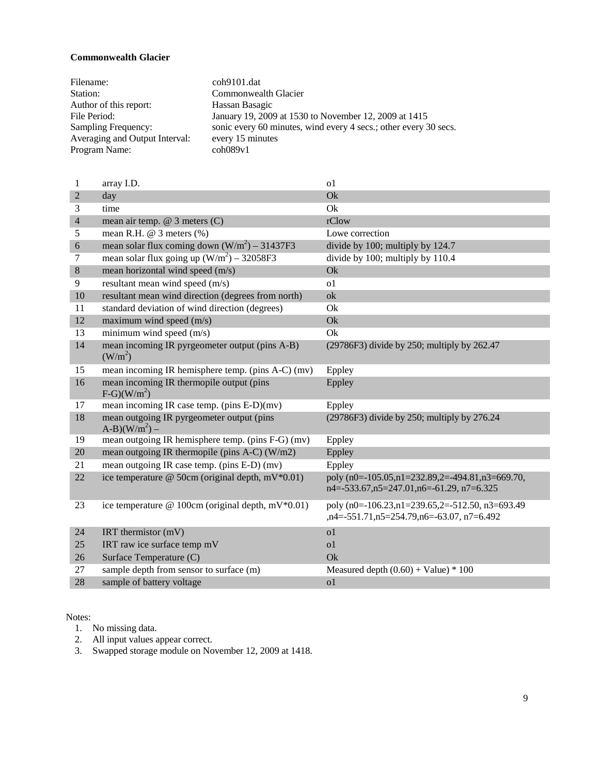#### <span id="page-8-0"></span>**Commonwealth Glacier**

| Filename:                      | coh9101.dat                                                      |
|--------------------------------|------------------------------------------------------------------|
| Station:                       | Commonwealth Glacier                                             |
| Author of this report:         | Hassan Basagic                                                   |
| File Period:                   | January 19, 2009 at 1530 to November 12, 2009 at 1415            |
| Sampling Frequency:            | sonic every 60 minutes, wind every 4 secs.; other every 30 secs. |
| Averaging and Output Interval: | every 15 minutes                                                 |
| Program Name:                  | $\coh089v1$                                                      |

| 1              | array I.D.                                                            | 0 <sub>1</sub>                                                                                          |
|----------------|-----------------------------------------------------------------------|---------------------------------------------------------------------------------------------------------|
| $\overline{2}$ | day                                                                   | Ok                                                                                                      |
| 3              | time                                                                  | Ok                                                                                                      |
| $\overline{4}$ | mean air temp. $@$ 3 meters $(C)$                                     | rClow                                                                                                   |
| 5              | mean R.H. @ 3 meters (%)                                              | Lowe correction                                                                                         |
| 6              | mean solar flux coming down $(W/m^2)$ – 31437F3                       | divide by 100; multiply by 124.7                                                                        |
| 7              | mean solar flux going up $(W/m^2)$ – 32058F3                          | divide by 100; multiply by 110.4                                                                        |
| $\,8\,$        | mean horizontal wind speed (m/s)                                      | Ok                                                                                                      |
| 9              | resultant mean wind speed (m/s)                                       | 0 <sub>1</sub>                                                                                          |
| 10             | resultant mean wind direction (degrees from north)                    | ok                                                                                                      |
| 11             | standard deviation of wind direction (degrees)                        | Ok                                                                                                      |
| 12             | maximum wind speed $(m/s)$                                            | Ok                                                                                                      |
| 13             | minimum wind speed (m/s)                                              | Ok                                                                                                      |
| 14             | mean incoming IR pyrgeometer output (pins A-B)<br>(W/m <sup>2</sup> ) | (29786F3) divide by 250; multiply by 262.47                                                             |
| 15             | mean incoming IR hemisphere temp. (pins A-C) (mv)                     | Eppley                                                                                                  |
| 16             | mean incoming IR thermopile output (pins<br>$F-G)(W/m^2)$             | Eppley                                                                                                  |
| 17             | mean incoming IR case temp. (pins E-D)(mv)                            | Eppley                                                                                                  |
| 18             | mean outgoing IR pyrgeometer output (pins<br>$(A-B)(W/m^2) -$         | (29786F3) divide by 250; multiply by 276.24                                                             |
| 19             | mean outgoing IR hemisphere temp. (pins F-G) (mv)                     | Eppley                                                                                                  |
| $20\,$         | mean outgoing IR thermopile (pins A-C) (W/m2)                         | Eppley                                                                                                  |
| 21             | mean outgoing IR case temp. (pins E-D) (mv)                           | Eppley                                                                                                  |
| 22             | ice temperature @ 50cm (original depth, mV*0.01)                      | poly (n0=-105.05,n1=232.89,2=-494.81,n3=669.70,<br>$n4 = -533.67, n5 = 247.01, n6 = -61.29, n7 = 6.325$ |
| 23             | ice temperature @ 100cm (original depth, mV $*0.01$ )                 | poly (n0=-106.23,n1=239.65,2=-512.50, n3=693.49<br>,n4=-551.71,n5=254.79,n6=-63.07, n7=6.492            |
| 24             | IRT thermistor $(mV)$                                                 | o <sub>1</sub>                                                                                          |
| 25             | IRT raw ice surface temp mV                                           | o <sub>1</sub>                                                                                          |
| 26             | Surface Temperature (C)                                               | Qk                                                                                                      |
| 27             | sample depth from sensor to surface (m)                               | Measured depth $(0.60) +$ Value) * 100                                                                  |
| 28             | sample of battery voltage                                             | 0 <sub>1</sub>                                                                                          |

Notes:

1. No missing data.

2. All input values appear correct.

3. Swapped storage module on November 12, 2009 at 1418.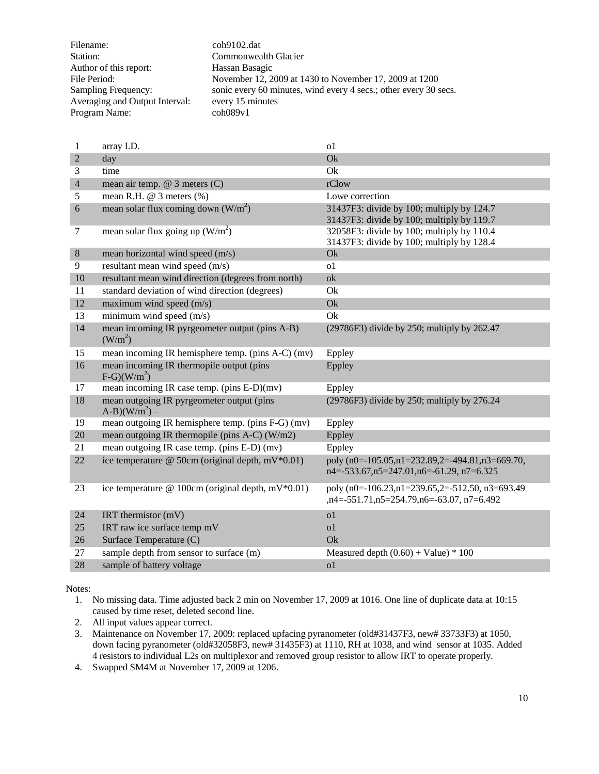| Filename:                      | coh9102.dat                                                      |
|--------------------------------|------------------------------------------------------------------|
| Station:                       | Commonwealth Glacier                                             |
| Author of this report:         | Hassan Basagic                                                   |
| File Period:                   | November 12, 2009 at 1430 to November 17, 2009 at 1200           |
| Sampling Frequency:            | sonic every 60 minutes, wind every 4 secs.; other every 30 secs. |
| Averaging and Output Interval: | every 15 minutes                                                 |
| Program Name:                  | $\text{coh}089\text{v}1$                                         |

| 1              | array I.D.                                                            | 0 <sup>1</sup>                                                                                          |
|----------------|-----------------------------------------------------------------------|---------------------------------------------------------------------------------------------------------|
| $\overline{2}$ | day                                                                   | Ok                                                                                                      |
| 3              | time                                                                  | Ok                                                                                                      |
| $\overline{4}$ | mean air temp. @ 3 meters (C)                                         | rClow                                                                                                   |
| 5              | mean R.H. $@$ 3 meters $%$                                            | Lowe correction                                                                                         |
| 6              | mean solar flux coming down $(W/m^2)$                                 | 31437F3: divide by 100; multiply by 124.7<br>31437F3: divide by 100; multiply by 119.7                  |
| 7              | mean solar flux going up $(W/m^2)$                                    | 32058F3: divide by 100; multiply by 110.4<br>31437F3: divide by 100; multiply by 128.4                  |
| $\,8\,$        | mean horizontal wind speed (m/s)                                      | Ok                                                                                                      |
| 9              | resultant mean wind speed (m/s)                                       | 0 <sub>1</sub>                                                                                          |
| 10             | resultant mean wind direction (degrees from north)                    | ok                                                                                                      |
| 11             | standard deviation of wind direction (degrees)                        | Ok                                                                                                      |
| 12             | maximum wind speed (m/s)                                              | Ok                                                                                                      |
| 13             | minimum wind speed (m/s)                                              | Ok                                                                                                      |
| 14             | mean incoming IR pyrgeometer output (pins A-B)<br>(W/m <sup>2</sup> ) | (29786F3) divide by 250; multiply by 262.47                                                             |
| 15             | mean incoming IR hemisphere temp. (pins A-C) (mv)                     | Eppley                                                                                                  |
| 16             | mean incoming IR thermopile output (pins<br>$F-G)(W/m^2)$             | Eppley                                                                                                  |
| 17             | mean incoming IR case temp. (pins E-D)(mv)                            | Eppley                                                                                                  |
| 18             | mean outgoing IR pyrgeometer output (pins<br>$(A-B)(W/m^2) -$         | (29786F3) divide by 250; multiply by 276.24                                                             |
| 19             | mean outgoing IR hemisphere temp. (pins F-G) (mv)                     | Eppley                                                                                                  |
| 20             | mean outgoing IR thermopile (pins $A-C$ ) (W/m2)                      | Eppley                                                                                                  |
| 21             | mean outgoing IR case temp. (pins E-D) (mv)                           | Eppley                                                                                                  |
| 22             | ice temperature @ 50cm (original depth, mV $*0.01$ )                  | poly (n0=-105.05,n1=232.89,2=-494.81,n3=669.70,<br>$n4 = -533.67, n5 = 247.01, n6 = -61.29, n7 = 6.325$ |
| 23             | ice temperature @ 100cm (original depth, mV $*0.01$ )                 | poly (n0=-106.23,n1=239.65,2=-512.50, n3=693.49<br>,n4=-551.71,n5=254.79,n6=-63.07, n7=6.492            |
| 24             | IRT thermistor $(mV)$                                                 | 0 <sub>1</sub>                                                                                          |
| 25             | IRT raw ice surface temp mV                                           | 0 <sub>1</sub>                                                                                          |
| 26             | Surface Temperature (C)                                               | Qk                                                                                                      |
| 27             | sample depth from sensor to surface (m)                               | Measured depth $(0.60) +$ Value) * 100                                                                  |
| 28             | sample of battery voltage                                             | 0 <sub>1</sub>                                                                                          |

1. No missing data. Time adjusted back 2 min on November 17, 2009 at 1016. One line of duplicate data at 10:15 caused by time reset, deleted second line.

2. All input values appear correct.

3. Maintenance on November 17, 2009: replaced upfacing pyranometer (old#31437F3, new# 33733F3) at 1050, down facing pyranometer (old#32058F3, new# 31435F3) at 1110, RH at 1038, and wind sensor at 1035. Added 4 resistors to individual L2s on multiplexor and removed group resistor to allow IRT to operate properly.

4. Swapped SM4M at November 17, 2009 at 1206.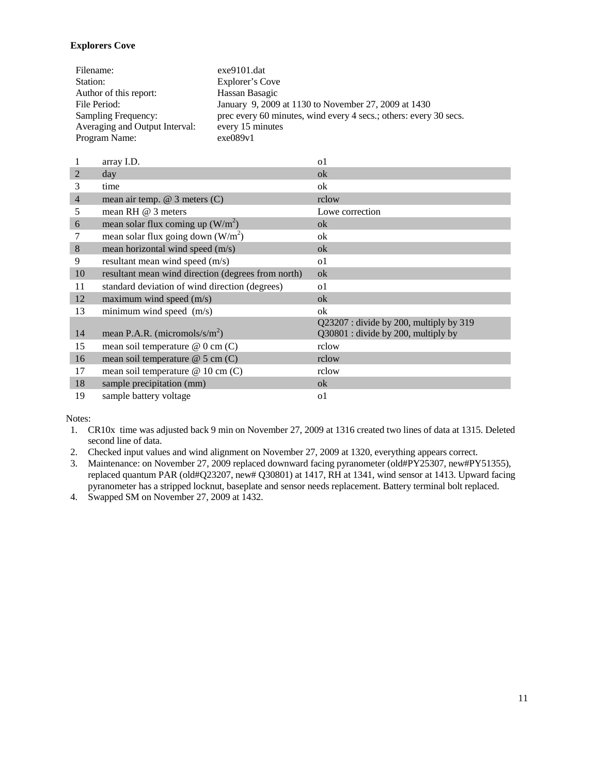### <span id="page-10-0"></span>**Explorers Cove**

| Filename:                      | $exe9101$ .dat                                                    |
|--------------------------------|-------------------------------------------------------------------|
| Station:                       | Explorer's Cove                                                   |
| Author of this report:         | Hassan Basagic                                                    |
| File Period:                   | January 9, 2009 at 1130 to November 27, 2009 at 1430              |
| Sampling Frequency:            | prec every 60 minutes, wind every 4 secs.; others: every 30 secs. |
| Averaging and Output Interval: | every 15 minutes                                                  |
| Program Name:                  | exe089v1                                                          |

|                | array I.D.                                         | $\Omega$                                                                      |
|----------------|----------------------------------------------------|-------------------------------------------------------------------------------|
| $\overline{2}$ | day                                                | ok                                                                            |
| 3              | time                                               | ok                                                                            |
| $\overline{4}$ | mean air temp. $@$ 3 meters $(C)$                  | rclow                                                                         |
| 5              | mean RH @ 3 meters                                 | Lowe correction                                                               |
| 6              | mean solar flux coming up $(W/m^2)$                | ok                                                                            |
|                | mean solar flux going down $(W/m^2)$               | ok                                                                            |
| 8              | mean horizontal wind speed (m/s)                   | ok                                                                            |
| 9              | resultant mean wind speed (m/s)                    | <sub>o</sub> 1                                                                |
| 10             | resultant mean wind direction (degrees from north) | ok                                                                            |
| 11             | standard deviation of wind direction (degrees)     | <sub>o</sub> 1                                                                |
| 12             | maximum wind speed $(m/s)$                         | ok                                                                            |
| 13             | minimum wind speed $(m/s)$                         | ok                                                                            |
| 14             | mean P.A.R. (micromols/s/ $m2$ )                   | Q23207: divide by 200, multiply by 319<br>Q30801 : divide by 200, multiply by |
| 15             | mean soil temperature $@0$ cm (C)                  | rclow                                                                         |
| 16             | mean soil temperature $@$ 5 cm (C)                 | rclow                                                                         |
| 17             | mean soil temperature @ 10 cm (C)                  | rclow                                                                         |
| 18             | sample precipitation (mm)                          | ok                                                                            |
| 19             | sample battery voltage                             | $\Omega$                                                                      |

- 1. CR10x time was adjusted back 9 min on November 27, 2009 at 1316 created two lines of data at 1315. Deleted second line of data.
- 2. Checked input values and wind alignment on November 27, 2009 at 1320, everything appears correct.
- 3. Maintenance: on November 27, 2009 replaced downward facing pyranometer (old#PY25307, new#PY51355), replaced quantum PAR (old#Q23207, new# Q30801) at 1417, RH at 1341, wind sensor at 1413. Upward facing pyranometer has a stripped locknut, baseplate and sensor needs replacement. Battery terminal bolt replaced.
- 4. Swapped SM on November 27, 2009 at 1432.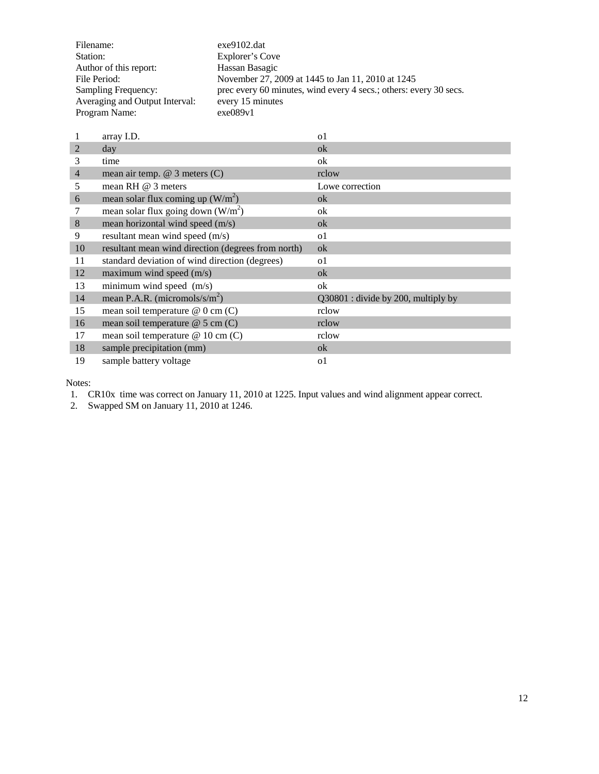| Filename:                      | $exe9102$ .dat                                                    |
|--------------------------------|-------------------------------------------------------------------|
| Station:                       | Explorer's Cove                                                   |
| Author of this report:         | Hassan Basagic                                                    |
| File Period:                   | November 27, 2009 at 1445 to Jan 11, 2010 at 1245                 |
| Sampling Frequency:            | prec every 60 minutes, wind every 4 secs.; others: every 30 secs. |
| Averaging and Output Interval: | every 15 minutes                                                  |
| Program Name:                  | exe089v1                                                          |

|                | array I.D.                                         | $\Omega$                            |
|----------------|----------------------------------------------------|-------------------------------------|
| 2              | day                                                | ok                                  |
| 3              | time                                               | ok                                  |
| $\overline{4}$ | mean air temp. $@$ 3 meters $(C)$                  | rclow                               |
| 5              | mean RH $@$ 3 meters                               | Lowe correction                     |
| 6              | mean solar flux coming up $(W/m^2)$                | ok                                  |
|                | mean solar flux going down $(W/m^2)$               | ok                                  |
| 8              | mean horizontal wind speed (m/s)                   | ok                                  |
| 9              | resultant mean wind speed (m/s)                    | <sub>o</sub> 1                      |
| 10             | resultant mean wind direction (degrees from north) | ok                                  |
| 11             | standard deviation of wind direction (degrees)     | o1                                  |
| 12             | maximum wind speed $(m/s)$                         | ok                                  |
| 13             | minimum wind speed (m/s)                           | ok                                  |
| 14             | mean P.A.R. (micromols/s/ $m^2$ )                  | Q30801 : divide by 200, multiply by |
| 15             | mean soil temperature $@0$ cm $(C)$                | rclow                               |
| 16             | mean soil temperature $@$ 5 cm (C)                 | rclow                               |
| 17             | mean soil temperature @ 10 cm (C)                  | rclow                               |
| 18             | sample precipitation (mm)                          | ok                                  |
| 19             | sample battery voltage                             | <sub>o</sub> 1                      |
|                |                                                    |                                     |

1. CR10x time was correct on January 11, 2010 at 1225. Input values and wind alignment appear correct.

2. Swapped SM on January 11, 2010 at 1246.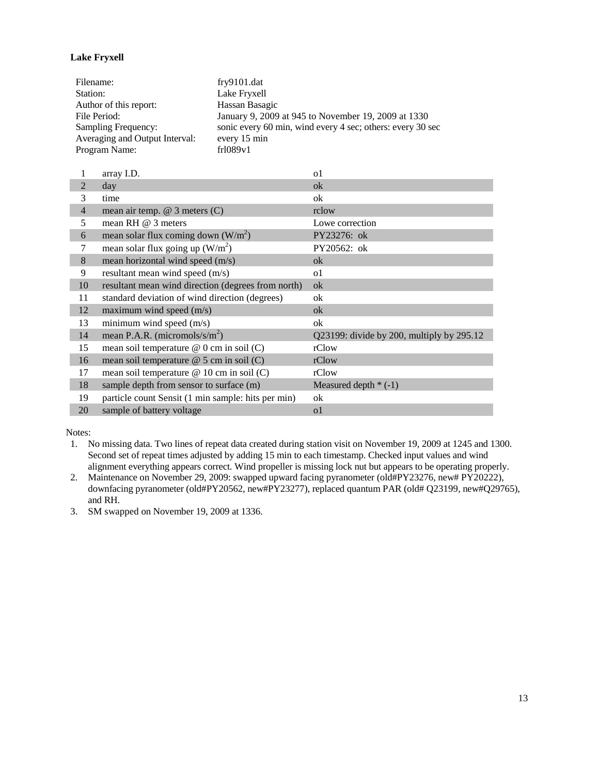# <span id="page-12-0"></span>**Lake Fryxell**

| Filename:                      | fry9101.dat                                                |
|--------------------------------|------------------------------------------------------------|
| Station:                       | Lake Fryxell                                               |
| Author of this report:         | Hassan Basagic                                             |
| File Period:                   | January 9, 2009 at 945 to November 19, 2009 at 1330        |
| Sampling Frequency:            | sonic every 60 min, wind every 4 sec; others: every 30 sec |
| Averaging and Output Interval: | every 15 min                                               |
| Program Name:                  | fr1089v1                                                   |

|                | array I.D.                                         | o1                                           |
|----------------|----------------------------------------------------|----------------------------------------------|
| $\overline{2}$ | day                                                | ok                                           |
| 3              | time                                               | ok                                           |
| $\overline{4}$ | mean air temp. $@$ 3 meters $(C)$                  | rclow                                        |
| 5              | mean RH $@$ 3 meters                               | Lowe correction                              |
| 6              | mean solar flux coming down $(W/m^2)$              | PY23276: ok                                  |
| 7              | mean solar flux going up $(W/m^2)$                 | PY20562: ok                                  |
| $8\,$          | mean horizontal wind speed (m/s)                   | ok                                           |
| 9              | resultant mean wind speed (m/s)                    | o1                                           |
| 10             | resultant mean wind direction (degrees from north) | ok                                           |
| 11             | standard deviation of wind direction (degrees)     | ok                                           |
| 12             | maximum wind speed $(m/s)$                         | ok                                           |
| 13             | minimum wind speed (m/s)                           | ok                                           |
| 14             | mean P.A.R. (micromols/s/ $m2$ )                   | $Q23199$ : divide by 200, multiply by 295.12 |
| 15             | mean soil temperature $@$ 0 cm in soil (C)         | rClow                                        |
| 16             | mean soil temperature $@$ 5 cm in soil (C)         | rClow                                        |
| 17             | mean soil temperature $@ 10$ cm in soil (C)        | rClow                                        |
| 18             | sample depth from sensor to surface (m)            | Measured depth $*(-1)$                       |
| 19             | particle count Sensit (1 min sample: hits per min) | ok                                           |
| 20             | sample of battery voltage                          | o1                                           |

- 1. No missing data. Two lines of repeat data created during station visit on November 19, 2009 at 1245 and 1300. Second set of repeat times adjusted by adding 15 min to each timestamp. Checked input values and wind alignment everything appears correct. Wind propeller is missing lock nut but appears to be operating properly.
- 2. Maintenance on November 29, 2009: swapped upward facing pyranometer (old#PY23276, new# PY20222), downfacing pyranometer (old#PY20562, new#PY23277), replaced quantum PAR (old# Q23199, new#Q29765), and RH.
- 3. SM swapped on November 19, 2009 at 1336.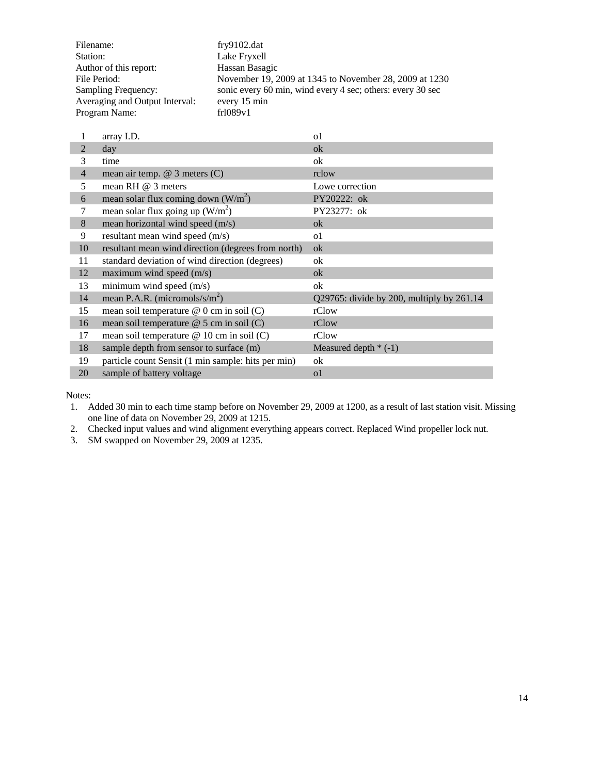| Filename:                      | fry9102.dat                                                |
|--------------------------------|------------------------------------------------------------|
| Station:                       | Lake Fryxell                                               |
| Author of this report:         | Hassan Basagic                                             |
| File Period:                   | November 19, 2009 at 1345 to November 28, 2009 at 1230     |
| Sampling Frequency:            | sonic every 60 min, wind every 4 sec; others: every 30 sec |
| Averaging and Output Interval: | every 15 min                                               |
| Program Name:                  | fr1089v1                                                   |

| 1              | array I.D.                                         | $\Omega$                                  |
|----------------|----------------------------------------------------|-------------------------------------------|
| $\overline{2}$ | day                                                | ok                                        |
| 3              | time                                               | ok                                        |
| $\overline{4}$ | mean air temp. $@$ 3 meters $(C)$                  | rclow                                     |
| 5              | mean RH $@$ 3 meters                               | Lowe correction                           |
| 6              | mean solar flux coming down $(W/m^2)$              | PY20222: ok                               |
| 7              | mean solar flux going up $(W/m^2)$                 | PY23277: ok                               |
| 8              | mean horizontal wind speed (m/s)                   | ok                                        |
| 9              | resultant mean wind speed (m/s)                    | 0 <sup>1</sup>                            |
| 10             | resultant mean wind direction (degrees from north) | ok                                        |
| 11             | standard deviation of wind direction (degrees)     | ok                                        |
| 12             | maximum wind speed $(m/s)$                         | ok                                        |
| 13             | minimum wind speed (m/s)                           | ok                                        |
| 14             | mean P.A.R. (micromols/s/ $m^2$ )                  | Q29765: divide by 200, multiply by 261.14 |
| 15             | mean soil temperature @ 0 cm in soil (C)           | rClow                                     |
| 16             | mean soil temperature @ 5 cm in soil (C)           | rClow                                     |
| 17             | mean soil temperature $@ 10$ cm in soil (C)        | rClow                                     |
| 18             | sample depth from sensor to surface (m)            | Measured depth $*(-1)$                    |
| 19             | particle count Sensit (1 min sample: hits per min) | ok                                        |
| 20             | sample of battery voltage                          | 0 <sup>1</sup>                            |
|                |                                                    |                                           |

1. Added 30 min to each time stamp before on November 29, 2009 at 1200, as a result of last station visit. Missing one line of data on November 29, 2009 at 1215.

2. Checked input values and wind alignment everything appears correct. Replaced Wind propeller lock nut.

3. SM swapped on November 29, 2009 at 1235.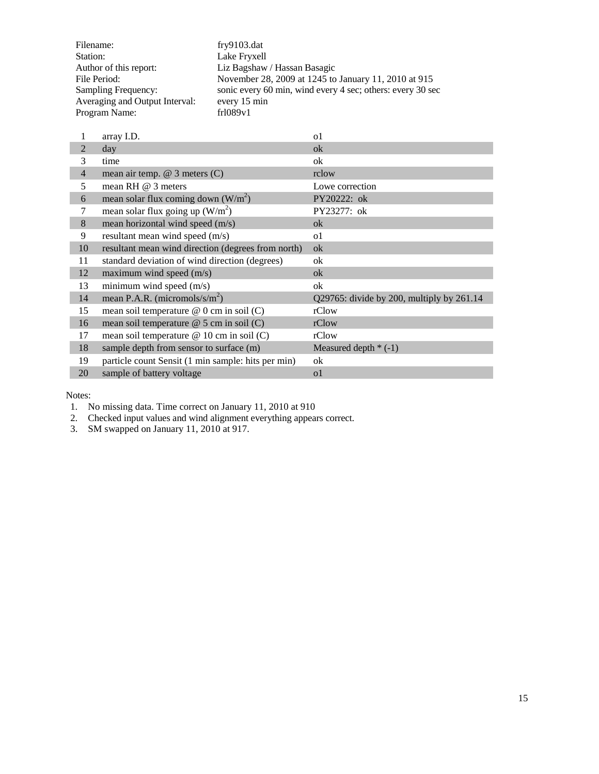| Filename:                      | fry9103.dat                                                |
|--------------------------------|------------------------------------------------------------|
| Station:                       | Lake Fryxell                                               |
| Author of this report:         | Liz Bagshaw / Hassan Basagic                               |
| File Period:                   | November 28, 2009 at 1245 to January 11, 2010 at 915       |
| Sampling Frequency:            | sonic every 60 min, wind every 4 sec; others: every 30 sec |
| Averaging and Output Interval: | every 15 min                                               |
| Program Name:                  | fr1089v1                                                   |

| 1              | array I.D.                                         | $\Omega$                                  |
|----------------|----------------------------------------------------|-------------------------------------------|
| $\overline{2}$ | day                                                | ok                                        |
| 3              | time                                               | ok                                        |
| $\overline{4}$ | mean air temp. $@$ 3 meters $(C)$                  | rclow                                     |
| 5              | mean RH $@$ 3 meters                               | Lowe correction                           |
| 6              | mean solar flux coming down $(W/m^2)$              | PY20222: ok                               |
| 7              | mean solar flux going up $(W/m^2)$                 | PY23277: ok                               |
| 8              | mean horizontal wind speed (m/s)                   | ok                                        |
| 9              | resultant mean wind speed (m/s)                    | o1                                        |
| 10             | resultant mean wind direction (degrees from north) | ok                                        |
| 11             | standard deviation of wind direction (degrees)     | ok                                        |
| 12             | maximum wind speed $(m/s)$                         | ok                                        |
| 13             | minimum wind speed (m/s)                           | ok                                        |
| 14             | mean P.A.R. (micromols/s/ $m^2$ )                  | Q29765: divide by 200, multiply by 261.14 |
| 15             | mean soil temperature @ 0 cm in soil (C)           | rClow                                     |
| 16             | mean soil temperature @ 5 cm in soil (C)           | rClow                                     |
| 17             | mean soil temperature @ 10 cm in soil (C)          | rClow                                     |
| 18             | sample depth from sensor to surface (m)            | Measured depth $*(-1)$                    |
| 19             | particle count Sensit (1 min sample: hits per min) | ok                                        |
| 20             | sample of battery voltage                          | 0 <sup>1</sup>                            |
|                |                                                    |                                           |

1. No missing data. Time correct on January 11, 2010 at 910

2. Checked input values and wind alignment everything appears correct.

3. SM swapped on January 11, 2010 at 917.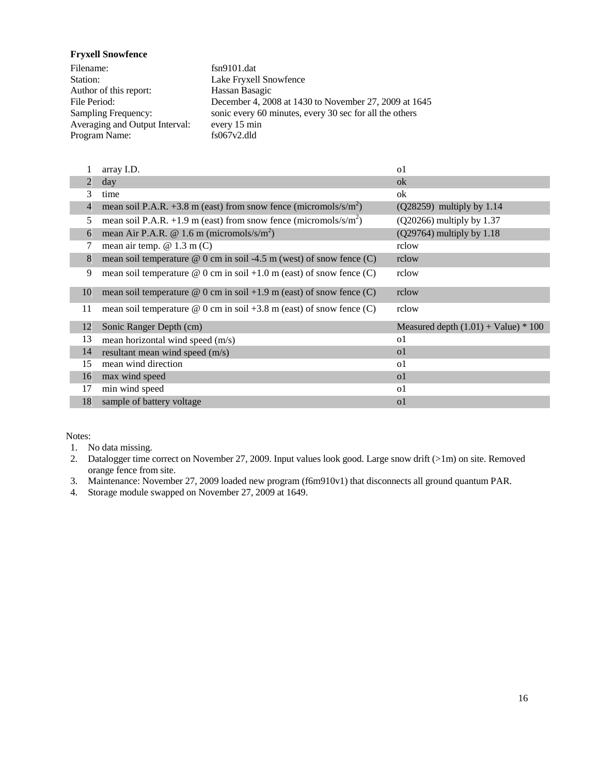<span id="page-15-0"></span>**Fryxell Snowfence**

Filename: fsn9101.dat Station: Lake Fryxell Snowfence Author of this report: Hassan Basagic<br>File Period: December 4, 200 December 4, 2008 at 1430 to November 27, 2009 at 1645 Sampling Frequency: sonic every 60 minutes, every 30 sec for all the others Averaging and Output Interval: every 15 min<br>Program Name: fs067v2.dld Program Name:

|    | array I.D.                                                                   | o1                                     |
|----|------------------------------------------------------------------------------|----------------------------------------|
| 2  | day                                                                          | ok                                     |
| 3  | time                                                                         | ok                                     |
| 4  | mean soil P.A.R. +3.8 m (east) from snow fence (micromols/s/m <sup>2</sup> ) | (Q28259) multiply by 1.14              |
| 5  | mean soil P.A.R. +1.9 m (east) from snow fence (micromols/s/m <sup>2</sup> ) | $(Q20266)$ multiply by 1.37            |
| 6  | mean Air P.A.R. @ 1.6 m (micromols/s/m <sup>2</sup> )                        | $(Q29764)$ multiply by 1.18            |
| 7  | mean air temp. $@ 1.3 m (C)$                                                 | rclow                                  |
| 8  | mean soil temperature $@$ 0 cm in soil -4.5 m (west) of snow fence (C)       | rclow                                  |
| 9  | mean soil temperature $\omega$ 0 cm in soil +1.0 m (east) of snow fence (C)  | rclow                                  |
| 10 | mean soil temperature $\omega$ 0 cm in soil +1.9 m (east) of snow fence (C)  | rclow                                  |
| 11 | mean soil temperature $\omega$ 0 cm in soil +3.8 m (east) of snow fence (C)  | rclow                                  |
| 12 | Sonic Ranger Depth (cm)                                                      | Measured depth $(1.01) +$ Value) * 100 |
| 13 | mean horizontal wind speed (m/s)                                             | <sub>o</sub> 1                         |
| 14 | resultant mean wind speed (m/s)                                              | 0 <sub>1</sub>                         |
| 15 | mean wind direction                                                          | o1                                     |
| 16 | max wind speed                                                               | $\Omega$                               |
| 17 | min wind speed                                                               | o1                                     |
| 18 | sample of battery voltage                                                    | $\Omega$                               |

Notes:

1. No data missing.

2. Datalogger time correct on November 27, 2009. Input values look good. Large snow drift (>1m) on site. Removed orange fence from site.

3. Maintenance: November 27, 2009 loaded new program (f6m910v1) that disconnects all ground quantum PAR.

4. Storage module swapped on November 27, 2009 at 1649.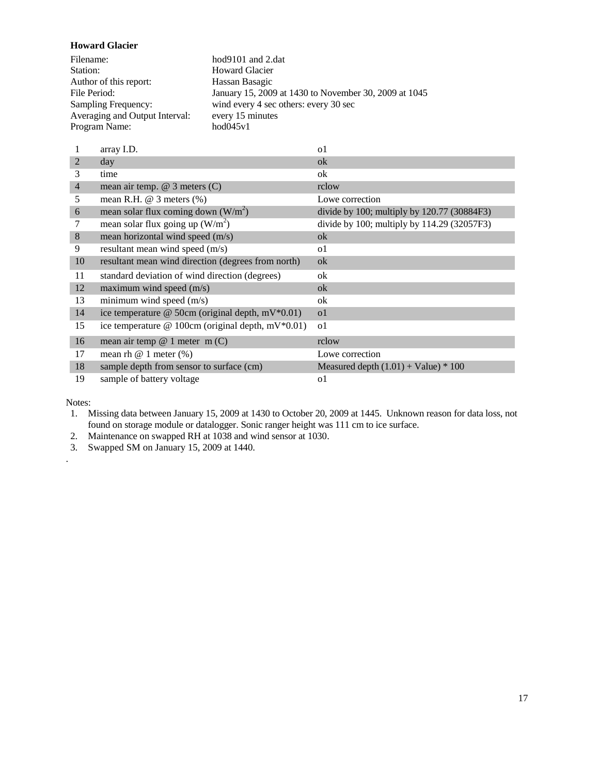<span id="page-16-0"></span>**Howard Glacier**

| Filename:                      | hod $9101$ and 2.dat                                  |
|--------------------------------|-------------------------------------------------------|
| Station:                       | <b>Howard Glacier</b>                                 |
| Author of this report:         | Hassan Basagic                                        |
| File Period:                   | January 15, 2009 at 1430 to November 30, 2009 at 1045 |
| Sampling Frequency:            | wind every 4 sec others: every 30 sec                 |
| Averaging and Output Interval: | every 15 minutes                                      |
| Program Name:                  | hod045v1                                              |

|                | array I.D.                                           | o1                                          |
|----------------|------------------------------------------------------|---------------------------------------------|
| $\overline{2}$ | day                                                  | ok                                          |
| 3              | time                                                 | ok                                          |
| $\overline{4}$ | mean air temp. $@$ 3 meters $(C)$                    | rclow                                       |
| 5              | mean R.H. $@$ 3 meters $%$ )                         | Lowe correction                             |
| 6              | mean solar flux coming down $(W/m^2)$                | divide by 100; multiply by 120.77 (30884F3) |
| 7              | mean solar flux going up $(W/m^2)$                   | divide by 100; multiply by 114.29 (32057F3) |
| 8              | mean horizontal wind speed (m/s)                     | ok                                          |
| 9              | resultant mean wind speed (m/s)                      | o1                                          |
| 10             | resultant mean wind direction (degrees from north)   | ok                                          |
| 11             | standard deviation of wind direction (degrees)       | ok                                          |
| 12             | maximum wind speed $(m/s)$                           | ok                                          |
| 13             | minimum wind speed $(m/s)$                           | ok                                          |
| 14             | ice temperature @ 50cm (original depth, $mV*0.01$ )  | $\Omega$                                    |
| 15             | ice temperature @ 100cm (original depth, $mV*0.01$ ) | $\Omega$                                    |
| 16             | mean air temp $@ 1$ meter m $(C)$                    | rclow                                       |
| 17             | mean rh $@1$ meter $(\%)$                            | Lowe correction                             |
| 18             | sample depth from sensor to surface (cm)             | Measured depth $(1.01) +$ Value) * 100      |
| 19             | sample of battery voltage                            | o1                                          |

Notes:

.

1. Missing data between January 15, 2009 at 1430 to October 20, 2009 at 1445. Unknown reason for data loss, not found on storage module or datalogger. Sonic ranger height was 111 cm to ice surface.

2. Maintenance on swapped RH at 1038 and wind sensor at 1030.

3. Swapped SM on January 15, 2009 at 1440.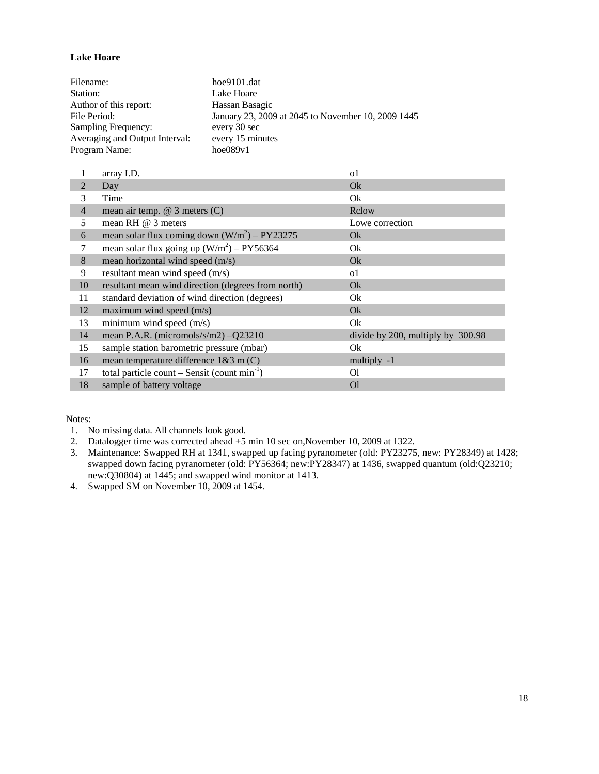### <span id="page-17-0"></span>**Lake Hoare**

| Filename:                      | hoe9101.dat                                        |
|--------------------------------|----------------------------------------------------|
| Station:                       | Lake Hoare                                         |
| Author of this report:         | Hassan Basagic                                     |
| File Period:                   | January 23, 2009 at 2045 to November 10, 2009 1445 |
| Sampling Frequency:            | every 30 sec                                       |
| Averaging and Output Interval: | every 15 minutes                                   |
| Program Name:                  | hoe089v1                                           |

|                | array I.D.                                         | $\Omega$                          |
|----------------|----------------------------------------------------|-----------------------------------|
| 2              | Day                                                | Ok                                |
| 3              | Time                                               | Ok                                |
| $\overline{4}$ | mean air temp. $@$ 3 meters $(C)$                  | Rclow                             |
| 5              | mean RH $@$ 3 meters                               | Lowe correction                   |
| 6              | mean solar flux coming down $(W/m^2)$ – PY23275    | Ok.                               |
| 7              | mean solar flux going up $(W/m^2)$ – PY56364       | Ok                                |
| 8              | mean horizontal wind speed (m/s)                   | Ok                                |
| 9              | resultant mean wind speed (m/s)                    | 0 <sup>1</sup>                    |
| 10             | resultant mean wind direction (degrees from north) | Ok                                |
| 11             | standard deviation of wind direction (degrees)     | Ok                                |
| 12             | maximum wind speed $(m/s)$                         | Ok.                               |
| 13             | minimum wind speed (m/s)                           | Ok                                |
| 14             | mean P.A.R. (micromols/s/m2) - Q23210              | divide by 200, multiply by 300.98 |
| 15             | sample station barometric pressure (mbar)          | Ok                                |
| 16             | mean temperature difference $1&3$ m (C)            | multiply -1                       |
| 17             | total particle count – Sensit (count $min^{-1}$ )  | O1                                |
| 18             | sample of battery voltage                          | <sup>Ol</sup>                     |

Notes:

1. No missing data. All channels look good.

2. Datalogger time was corrected ahead +5 min 10 sec on,November 10, 2009 at 1322.

3. Maintenance: Swapped RH at 1341, swapped up facing pyranometer (old: PY23275, new: PY28349) at 1428; swapped down facing pyranometer (old: PY56364; new:PY28347) at 1436, swapped quantum (old:Q23210; new:Q30804) at 1445; and swapped wind monitor at 1413.

4. Swapped SM on November 10, 2009 at 1454.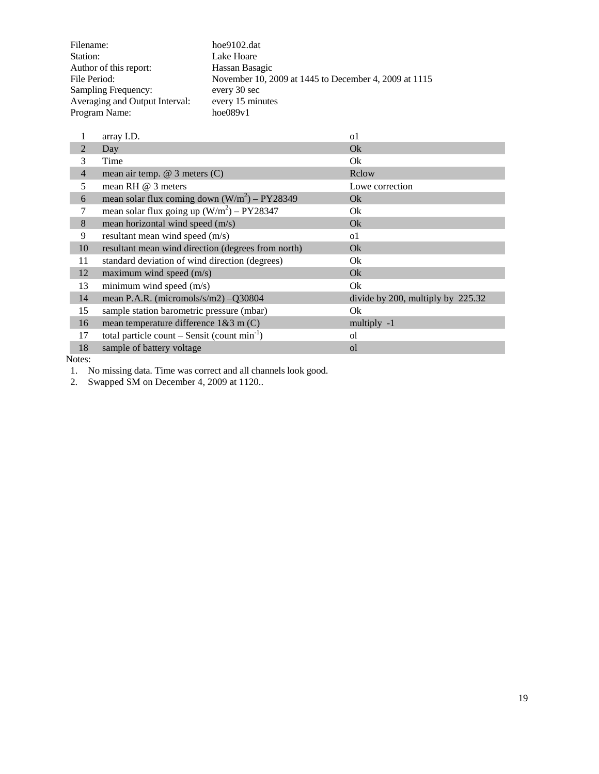| Filename:                      | hoe9102.dat                                           |
|--------------------------------|-------------------------------------------------------|
| Station:                       | Lake Hoare                                            |
| Author of this report:         | Hassan Basagic                                        |
| File Period:                   | November 10, 2009 at 1445 to December 4, 2009 at 1115 |
| Sampling Frequency:            | every 30 sec                                          |
| Averaging and Output Interval: | every 15 minutes                                      |
| Program Name:                  | hoe089v1                                              |

|                | array I.D.                                         | $\Omega$                          |
|----------------|----------------------------------------------------|-----------------------------------|
| $\overline{2}$ | Day                                                | Ok                                |
| 3              | Time                                               | Ok                                |
| $\overline{4}$ | mean air temp. $@$ 3 meters $(C)$                  | Rclow                             |
| 5              | mean RH $@$ 3 meters                               | Lowe correction                   |
| 6              | mean solar flux coming down $(W/m^2)$ – PY28349    | Qk                                |
|                | mean solar flux going up $(W/m^2) - PY28347$       | Ok                                |
| 8              | mean horizontal wind speed (m/s)                   | Ok                                |
| 9              | resultant mean wind speed (m/s)                    | <sub>o</sub> 1                    |
| 10             | resultant mean wind direction (degrees from north) | Ok                                |
| 11             | standard deviation of wind direction (degrees)     | Ok                                |
| 12             | maximum wind speed $(m/s)$                         | Ok                                |
| 13             | minimum wind speed (m/s)                           | Ok                                |
| 14             | mean P.A.R. (micromols/s/m2) -Q30804               | divide by 200, multiply by 225.32 |
| 15             | sample station barometric pressure (mbar)          | Ok                                |
| 16             | mean temperature difference $1&3$ m (C)            | multiply -1                       |
| 17             | total particle count – Sensit (count $min^{-1}$ )  | οl                                |
| 18             | sample of battery voltage                          | ol                                |

1. No missing data. Time was correct and all channels look good.

2. Swapped SM on December 4, 2009 at 1120..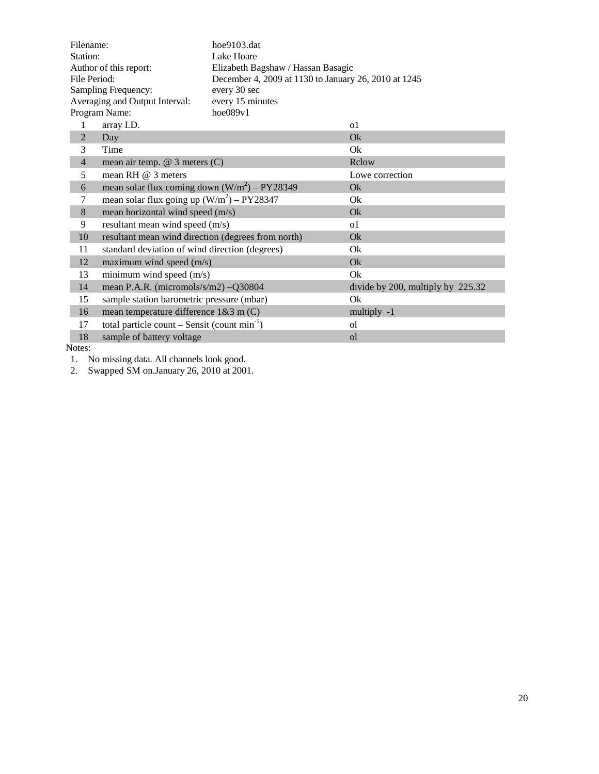| hoe9103.dat<br>Filename: |                                                    |                                                      |                                   |  |
|--------------------------|----------------------------------------------------|------------------------------------------------------|-----------------------------------|--|
| Station:                 |                                                    | Lake Hoare                                           |                                   |  |
| Author of this report:   |                                                    | Elizabeth Bagshaw / Hassan Basagic                   |                                   |  |
| File Period:             |                                                    | December 4, 2009 at 1130 to January 26, 2010 at 1245 |                                   |  |
|                          | Sampling Frequency:                                | every 30 sec                                         |                                   |  |
|                          | Averaging and Output Interval:                     | every 15 minutes                                     |                                   |  |
|                          | Program Name:                                      | hoe089v1                                             |                                   |  |
| 1                        | array I.D.                                         |                                                      | o1                                |  |
| $\overline{2}$           | Day                                                |                                                      | Ok                                |  |
| 3                        | Time                                               |                                                      | Ok                                |  |
| $\overline{4}$           | mean air temp. $@$ 3 meters $(C)$                  |                                                      | Rclow                             |  |
| 5                        | mean RH $@$ 3 meters                               |                                                      | Lowe correction                   |  |
| 6                        | mean solar flux coming down $(W/m^2)$ – PY28349    |                                                      | Qk                                |  |
| 7                        | mean solar flux going up $(W/m^2)$ – PY28347       |                                                      | Ok                                |  |
| $\,8\,$                  | mean horizontal wind speed (m/s)                   |                                                      | Ok                                |  |
| 9                        | resultant mean wind speed (m/s)                    |                                                      | 0 <sup>1</sup>                    |  |
| 10                       | resultant mean wind direction (degrees from north) |                                                      | Ok                                |  |
| 11                       | standard deviation of wind direction (degrees)     |                                                      | Ok                                |  |
| 12                       | maximum wind speed (m/s)                           |                                                      | Ok                                |  |
| 13                       | minimum wind speed (m/s)                           |                                                      | Ok                                |  |
| 14                       | mean P.A.R. (micromols/s/m2) -Q30804               |                                                      | divide by 200, multiply by 225.32 |  |
| 15                       | sample station barometric pressure (mbar)          |                                                      | Ok                                |  |
| 16                       | mean temperature difference $1&3$ m (C)            |                                                      | multiply -1                       |  |
| 17                       | total particle count – Sensit (count $min^{-1}$ )  |                                                      | οl                                |  |
| 18                       | sample of battery voltage                          |                                                      | <sub>o</sub> l                    |  |

1. No missing data. All channels look good.

2. Swapped SM on.January 26, 2010 at 2001.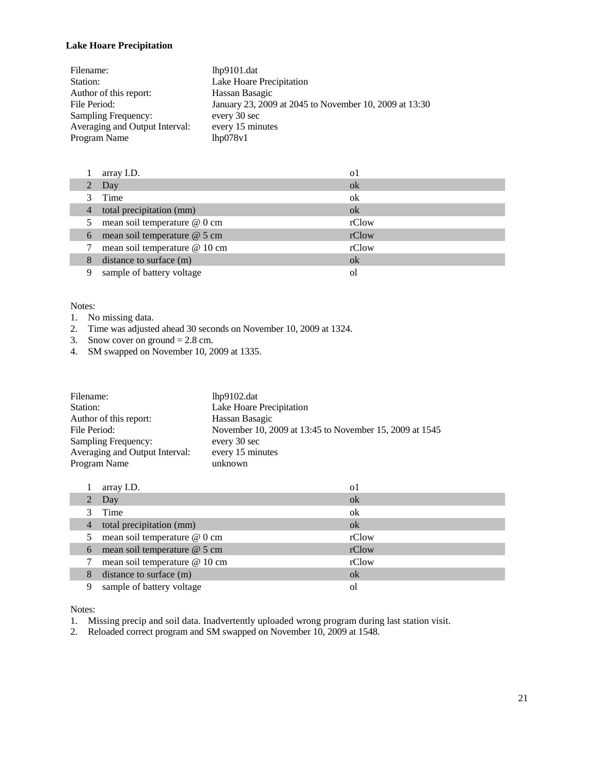# <span id="page-20-0"></span>**Lake Hoare Precipitation**

| Filename:                      | $1hp9101$ .dat                                         |
|--------------------------------|--------------------------------------------------------|
| Station:                       | Lake Hoare Precipitation                               |
| Author of this report:         | Hassan Basagic                                         |
| File Period:                   | January 23, 2009 at 2045 to November 10, 2009 at 13:30 |
| Sampling Frequency:            | every 30 sec                                           |
| Averaging and Output Interval: | every 15 minutes                                       |
| Program Name                   | 1 <sub>hp078v1</sub>                                   |

|                | array I.D.                    | o1    |
|----------------|-------------------------------|-------|
|                | 2 Day                         | ok    |
|                | Time                          | ok    |
| $\overline{4}$ | total precipitation (mm)      | ok    |
| 5              | mean soil temperature @ 0 cm  | rClow |
| 6              | mean soil temperature @ 5 cm  | rClow |
|                | mean soil temperature @ 10 cm | rClow |
| 8              | distance to surface (m)       | ok    |
| 9              | sample of battery voltage     | Οl    |

#### Notes:

- 1. No missing data.
- 2. Time was adjusted ahead 30 seconds on November 10, 2009 at 1324.
- 3. Snow cover on ground  $= 2.8$  cm.
- 4. SM swapped on November 10, 2009 at 1335.

| Filename:                      | 1 <sub>hp9102.dat</sub>                                 |
|--------------------------------|---------------------------------------------------------|
| Station:                       | Lake Hoare Precipitation                                |
| Author of this report:         | Hassan Basagic                                          |
| File Period:                   | November 10, 2009 at 13:45 to November 15, 2009 at 1545 |
| Sampling Frequency:            | every 30 sec                                            |
| Averaging and Output Interval: | every 15 minutes                                        |
| Program Name                   | unknown                                                 |

|                | array I.D.                    | οl    |
|----------------|-------------------------------|-------|
| $\overline{2}$ | Day                           | ok    |
|                | Time                          | ok    |
| $\overline{4}$ | total precipitation (mm)      | ok    |
| 5              | mean soil temperature @ 0 cm  | rClow |
| 6              | mean soil temperature @ 5 cm  | rClow |
|                | mean soil temperature @ 10 cm | rClow |
| 8              | distance to surface (m)       | ok    |
| 9              | sample of battery voltage     | ΩI    |

Notes:

- 1. Missing precip and soil data. Inadvertently uploaded wrong program during last station visit.
- 2. Reloaded correct program and SM swapped on November 10, 2009 at 1548.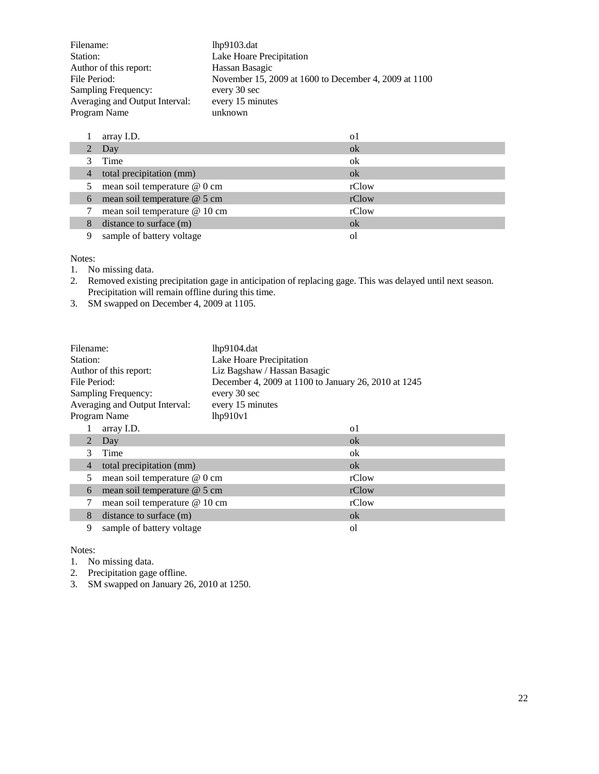| Filename:                      | 1hp9103.dat                                           |
|--------------------------------|-------------------------------------------------------|
| Station:                       | Lake Hoare Precipitation                              |
| Author of this report:         | Hassan Basagic                                        |
| File Period:                   | November 15, 2009 at 1600 to December 4, 2009 at 1100 |
| Sampling Frequency:            | every 30 sec                                          |
| Averaging and Output Interval: | every 15 minutes                                      |
| Program Name                   | unknown                                               |

|                | array I.D.                    | $\Omega$ |
|----------------|-------------------------------|----------|
|                | Day                           | ok       |
|                | Time                          | ok       |
| $\overline{4}$ | total precipitation (mm)      | $\alpha$ |
| 5              | mean soil temperature @ 0 cm  | rClow    |
| 6              | mean soil temperature @ 5 cm  | rClow    |
|                | mean soil temperature @ 10 cm | rClow    |
| 8              | distance to surface (m)       | ok       |
| 9              | sample of battery voltage     | Οl       |

- 1. No missing data.
- 2. Removed existing precipitation gage in anticipation of replacing gage. This was delayed until next season. Precipitation will remain offline during this time.
- 3. SM swapped on December 4, 2009 at 1105.

| Filename:<br>Station:<br>Author of this report:<br>File Period:<br>Sampling Frequency:<br>Averaging and Output Interval: |                |                               | $1hp9104$ .dat<br>Lake Hoare Precipitation<br>Liz Bagshaw / Hassan Basagic<br>December 4, 2009 at 1100 to January 26, 2010 at 1245<br>every 30 sec<br>every 15 minutes |          |
|--------------------------------------------------------------------------------------------------------------------------|----------------|-------------------------------|------------------------------------------------------------------------------------------------------------------------------------------------------------------------|----------|
|                                                                                                                          |                | Program Name                  | lhp910v1                                                                                                                                                               |          |
|                                                                                                                          |                | array I.D.                    |                                                                                                                                                                        | $\Omega$ |
|                                                                                                                          | 2              | Day                           |                                                                                                                                                                        | ok       |
|                                                                                                                          | 3              | Time                          |                                                                                                                                                                        | ok       |
|                                                                                                                          | $\overline{4}$ | total precipitation (mm)      |                                                                                                                                                                        | ok       |
|                                                                                                                          | 5              | mean soil temperature @ 0 cm  |                                                                                                                                                                        | rClow    |
|                                                                                                                          | 6              | mean soil temperature @ 5 cm  |                                                                                                                                                                        | rClow    |
|                                                                                                                          | 7              | mean soil temperature @ 10 cm |                                                                                                                                                                        | rClow    |
|                                                                                                                          | 8              | distance to surface (m)       |                                                                                                                                                                        | ok       |
|                                                                                                                          | 9              | sample of battery voltage     |                                                                                                                                                                        | οl       |

- 1. No missing data.
- 2. Precipitation gage offline.
- 3. SM swapped on January 26, 2010 at 1250.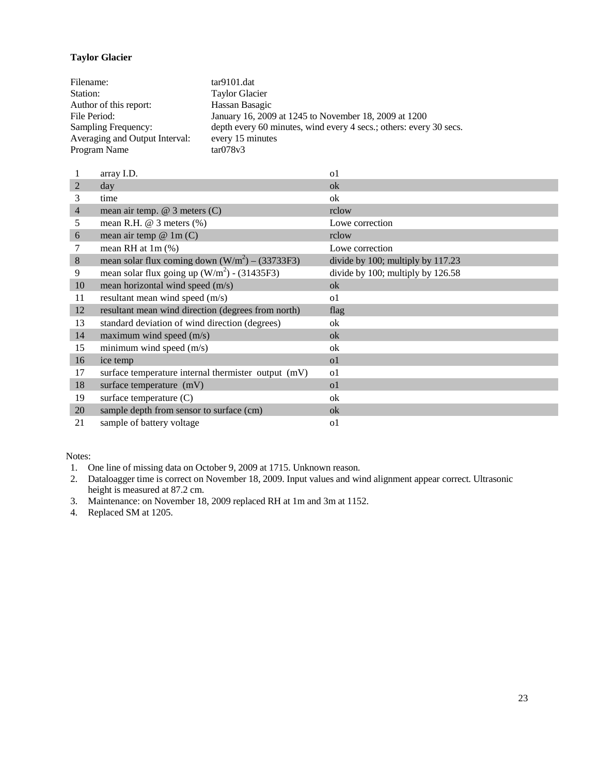# <span id="page-22-0"></span>**Taylor Glacier**

| Filename:                      | $tar9101$ .dat                                                     |
|--------------------------------|--------------------------------------------------------------------|
| Station:                       | <b>Taylor Glacier</b>                                              |
| Author of this report:         | Hassan Basagic                                                     |
| File Period:                   | January 16, 2009 at 1245 to November 18, 2009 at 1200              |
| Sampling Frequency:            | depth every 60 minutes, wind every 4 secs.; others: every 30 secs. |
| Averaging and Output Interval: | every 15 minutes                                                   |
| Program Name                   | tan078v3                                                           |

|                | array I.D.                                          | $\Omega$                          |
|----------------|-----------------------------------------------------|-----------------------------------|
| $\overline{2}$ | day                                                 | ok                                |
| 3              | time                                                | ok                                |
| $\overline{4}$ | mean air temp. $@$ 3 meters $(C)$                   | rclow                             |
| 5              | mean R.H. $@$ 3 meters $%$                          | Lowe correction                   |
| 6              | mean air temp $@ 1m(C)$                             | rclow                             |
|                | mean RH at $1m$ $%$ )                               | Lowe correction                   |
| 8              | mean solar flux coming down $(W/m2) - (33733F3)$    | divide by 100; multiply by 117.23 |
| 9              | mean solar flux going up $(W/m2)$ - (31435F3)       | divide by 100; multiply by 126.58 |
| 10             | mean horizontal wind speed (m/s)                    | ok                                |
| 11             | resultant mean wind speed (m/s)                     | $\Omega$                          |
| 12             | resultant mean wind direction (degrees from north)  | flag                              |
| 13             | standard deviation of wind direction (degrees)      | ok                                |
| 14             | maximum wind speed $(m/s)$                          | ok                                |
| 15             | minimum wind speed $(m/s)$                          | ok                                |
| 16             | ice temp                                            | $\Omega$                          |
| 17             | surface temperature internal thermister output (mV) | $\Omega$                          |
| 18             | surface temperature (mV)                            | $\Omega$                          |
| 19             | surface temperature $(C)$                           | ok                                |
| 20             | sample depth from sensor to surface (cm)            | ok                                |
| 21             | sample of battery voltage                           | o1                                |

Notes:

1. One line of missing data on October 9, 2009 at 1715. Unknown reason.

2. Dataloagger time is correct on November 18, 2009. Input values and wind alignment appear correct. Ultrasonic height is measured at 87.2 cm.

3. Maintenance: on November 18, 2009 replaced RH at 1m and 3m at 1152.

4. Replaced SM at 1205.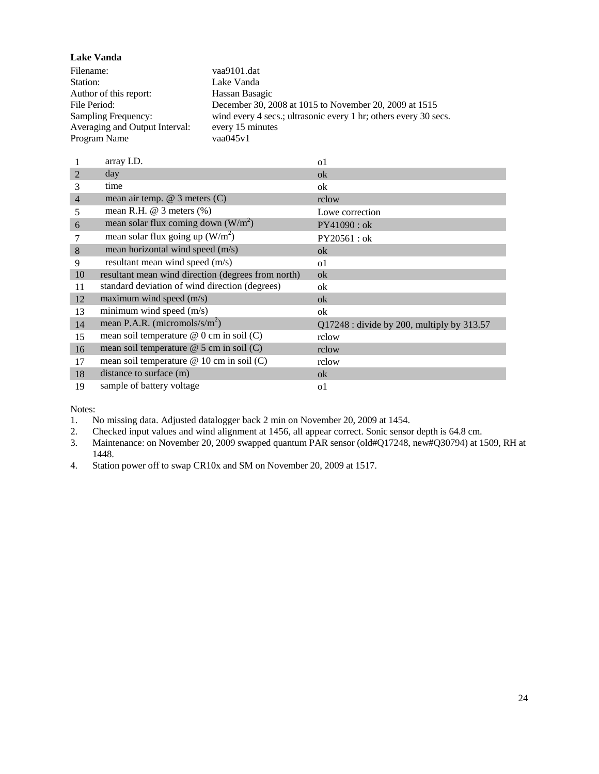<span id="page-23-0"></span>**Lake Vanda** Filename: vaa9101.dat Station: Lake Vanda Author of this report: Hassan Basagic<br>File Period: December 30, 20 December 30, 2008 at 1015 to November 20, 2009 at 1515 Sampling Frequency: wind every 4 secs.; ultrasonic every 1 hr; others every 30 secs. Averaging and Output Interval: every 15 minutes<br>Program Name vaa045v1 Program Name

|                | array I.D.                                         | <sub>o</sub> 1                               |
|----------------|----------------------------------------------------|----------------------------------------------|
| $\overline{2}$ | day                                                | ok                                           |
| 3              | time                                               | ok                                           |
| $\overline{4}$ | mean air temp. $@$ 3 meters $(C)$                  | rclow                                        |
| 5              | mean R.H. $\omega$ 3 meters $(\%)$                 | Lowe correction                              |
| 6              | mean solar flux coming down $(W/m^2)$              | PY41090 : ok                                 |
|                | mean solar flux going up $(W/m^2)$                 | $PY20561:$ ok                                |
| 8              | mean horizontal wind speed (m/s)                   | ok                                           |
| 9              | resultant mean wind speed (m/s)                    | 0 <sup>1</sup>                               |
| 10             | resultant mean wind direction (degrees from north) | ok                                           |
| 11             | standard deviation of wind direction (degrees)     | ok                                           |
| 12             | maximum wind speed $(m/s)$                         | ok                                           |
| 13             | minimum wind speed $(m/s)$                         | ok                                           |
| 14             | mean P.A.R. (micromols/s/ $m2$ )                   | $Q17248$ : divide by 200, multiply by 313.57 |
| 15             | mean soil temperature $@$ 0 cm in soil (C)         | rclow                                        |
| 16             | mean soil temperature $@$ 5 cm in soil (C)         | rclow                                        |
| 17             | mean soil temperature $@ 10$ cm in soil (C)        | rclow                                        |
| 18             | distance to surface (m)                            | ok                                           |
| 19             | sample of battery voltage                          | o1                                           |

Notes:

1. No missing data. Adjusted datalogger back 2 min on November 20, 2009 at 1454.<br>2. Checked input values and wind alignment at 1456, all appear correct. Sonic sensor

2. Checked input values and wind alignment at 1456, all appear correct. Sonic sensor depth is 64.8 cm.<br>3. Maintenance: on November 20, 2009 swapped quantum PAR sensor (old#Q17248, new#Q30794) at 1

3. Maintenance: on November 20, 2009 swapped quantum PAR sensor (old#Q17248, new#Q30794) at 1509, RH at 1448.

4. Station power off to swap CR10x and SM on November 20, 2009 at 1517.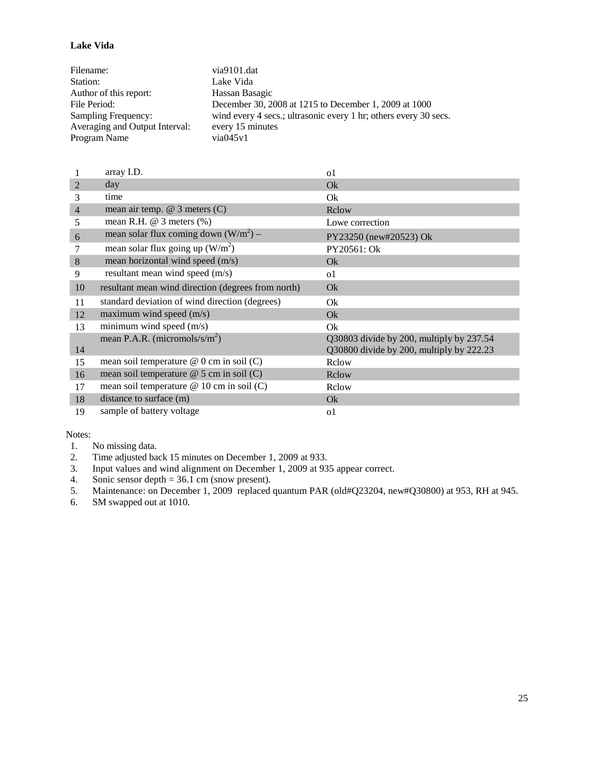#### <span id="page-24-0"></span>**Lake Vida**

| Filename:                      | via9101.dat                                                      |
|--------------------------------|------------------------------------------------------------------|
| Station:                       | Lake Vida                                                        |
| Author of this report:         | Hassan Basagic                                                   |
| File Period:                   | December 30, 2008 at 1215 to December 1, 2009 at 1000            |
| Sampling Frequency:            | wind every 4 secs.; ultrasonic every 1 hr; others every 30 secs. |
| Averaging and Output Interval: | every 15 minutes                                                 |
| Program Name                   | via045v1                                                         |

|                | array I.D.                                         | o1                                                                                   |
|----------------|----------------------------------------------------|--------------------------------------------------------------------------------------|
| $\overline{2}$ | day                                                | Ok                                                                                   |
| 3              | time                                               | Ok                                                                                   |
| $\overline{4}$ | mean air temp. $@$ 3 meters $(C)$                  | Rclow                                                                                |
| 5              | mean R.H. $@$ 3 meters $%$                         | Lowe correction                                                                      |
| 6              | mean solar flux coming down $(W/m^2)$ –            | PY23250 (new#20523) Ok                                                               |
| 7              | mean solar flux going up $(W/m^2)$                 | PY20561: Ok                                                                          |
| 8              | mean horizontal wind speed (m/s)                   | <b>Ok</b>                                                                            |
| 9              | resultant mean wind speed (m/s)                    | 0 <sup>1</sup>                                                                       |
| 10             | resultant mean wind direction (degrees from north) | Ok                                                                                   |
| 11             | standard deviation of wind direction (degrees)     | Ok                                                                                   |
| 12             | maximum wind speed $(m/s)$                         | Ok                                                                                   |
| 13             | minimum wind speed $(m/s)$                         | Ok                                                                                   |
| 14             | mean P.A.R. (micromols/s/ $m2$ )                   | Q30803 divide by 200, multiply by 237.54<br>Q30800 divide by 200, multiply by 222.23 |
| 15             | mean soil temperature $@$ 0 cm in soil (C)         | Relow                                                                                |
| 16             | mean soil temperature $@$ 5 cm in soil (C)         | Rclow                                                                                |
| 17             | mean soil temperature $@ 10$ cm in soil (C)        | Relow                                                                                |
| 18             | distance to surface (m)                            | Ok                                                                                   |
| 19             | sample of battery voltage                          | o1                                                                                   |

- 1. No missing data.
- 2. Time adjusted back 15 minutes on December 1, 2009 at 933.<br>3. Input values and wind alignment on December 1, 2009 at 93.
- 3. Input values and wind alignment on December 1, 2009 at 935 appear correct.
- 4. Sonic sensor depth =  $36.1 \text{ cm}$  (snow present).
- 5. Maintenance: on December 1, 2009 replaced quantum PAR (old#Q23204, new#Q30800) at 953, RH at 945.<br>6. SM swapped out at 1010.
- SM swapped out at 1010.